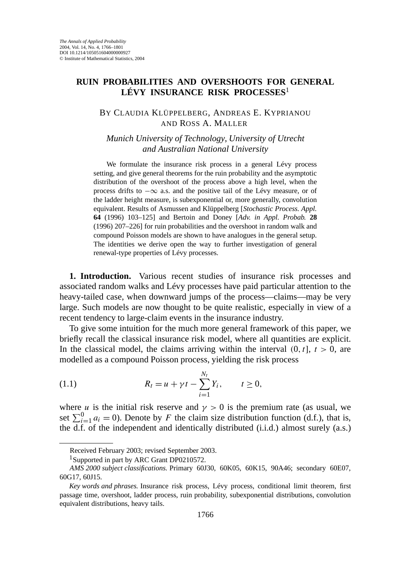## **RUIN PROBABILITIES AND OVERSHOOTS FOR GENERAL LÉVY INSURANCE RISK PROCESSES**<sup>1</sup>

## BY CLAUDIA KLÜPPELBERG, ANDREAS E. KYPRIANOU AND ROSS A. MALLER

*Munich University of Technology*, *University of Utrecht and Australian National University*

We formulate the insurance risk process in a general Lévy process setting, and give general theorems for the ruin probability and the asymptotic distribution of the overshoot of the process above a high level, when the process drifts to −∞ a.s. and the positive tail of the Lévy measure, or of the ladder height measure, is subexponential or, more generally, convolution equivalent. Results of Asmussen and Klüppelberg [*Stochastic Process. Appl.* **64** (1996) 103–125] and Bertoin and Doney [*Adv. in Appl. Probab.* **28** (1996) 207–226] for ruin probabilities and the overshoot in random walk and compound Poisson models are shown to have analogues in the general setup. The identities we derive open the way to further investigation of general renewal-type properties of Lévy processes.

**1. Introduction.** Various recent studies of insurance risk processes and associated random walks and Lévy processes have paid particular attention to the heavy-tailed case, when downward jumps of the process—claims—may be very large. Such models are now thought to be quite realistic, especially in view of a recent tendency to large-claim events in the insurance industry.

To give some intuition for the much more general framework of this paper, we briefly recall the classical insurance risk model, where all quantities are explicit. In the classical model, the claims arriving within the interval  $(0, t]$ ,  $t > 0$ , are modelled as a compound Poisson process, yielding the risk process

(1.1) 
$$
R_t = u + \gamma t - \sum_{i=1}^{N_t} Y_i, \qquad t \ge 0,
$$

where *u* is the initial risk reserve and  $\gamma > 0$  is the premium rate (as usual, we set  $\sum_{i=1}^{0} a_i = 0$ ). Denote by *F* the claim size distribution function (d.f.), that is, the d.f. of the independent and identically distributed (i.i.d.) almost surely (a.s.)

Received February 2003; revised September 2003.

<sup>1</sup>Supported in part by ARC Grant DP0210572.

*AMS 2000 subject classifications.* Primary 60J30, 60K05, 60K15, 90A46; secondary 60E07, 60G17, 60J15.

*Key words and phrases.* Insurance risk process, Lévy process, conditional limit theorem, first passage time, overshoot, ladder process, ruin probability, subexponential distributions, convolution equivalent distributions, heavy tails.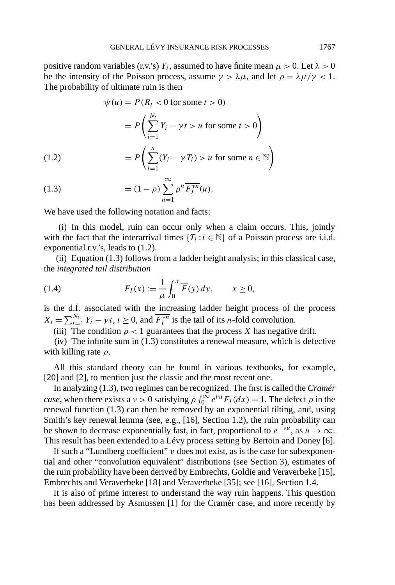positive random variables (r.v.'s)  $Y_i$ , assumed to have finite mean  $\mu > 0$ . Let  $\lambda > 0$ be the intensity of the Poisson process, assume  $\gamma > \lambda \mu$ , and let  $\rho = \lambda \mu / \gamma < 1$ . The probability of ultimate ruin is then

$$
\psi(u) = P(R_t < 0 \text{ for some } t > 0)
$$

$$
= P\left(\sum_{i=1}^{N_t} Y_i - \gamma t > u \text{ for some } t > 0\right)
$$

$$
= P\left(\sum_{i=1}^n (Y_i - \gamma T_i) > u \text{ for some } n \in \mathbb{N}\right)
$$

$$
\infty
$$

(1.3) 
$$
= (1 - \rho) \sum_{n=1}^{\infty} \rho^n \overline{F_I^{*n}}(u).
$$

We have used the following notation and facts:

(i) In this model, ruin can occur only when a claim occurs. This, jointly with the fact that the interarrival times  ${T_i : i \in \mathbb{N}}$  of a Poisson process are i.i.d. exponential r.v.'s, leads to (1.2).

(ii) Equation (1.3) follows from a ladder height analysis; in this classical case, the *integrated tail distribution*

(1.4) 
$$
F_I(x) := \frac{1}{\mu} \int_0^x \overline{F}(y) \, dy, \qquad x \ge 0,
$$

is the d.f. associated with the increasing ladder height process of the process  $X_t = \sum_{i=1}^{N_t} Y_i - \gamma t, t \ge 0$ , and  $\overline{F_I^{*n}}$  is the tail of its *n*-fold convolution.

(iii) The condition  $\rho < 1$  guarantees that the process *X* has negative drift.

(iv) The infinite sum in (1.3) constitutes a renewal measure, which is defective with killing rate *ρ*.

All this standard theory can be found in various textbooks, for example, [20] and [2], to mention just the classic and the most recent one.

In analyzing (1.3), two regimes can be recognized. The first is called the *Cramér case*, when there exists a  $\nu > 0$  satisfying  $\rho \int_0^\infty e^{\nu u} F_I(dx) = 1$ . The defect  $\rho$  in the renewal function (1.3) can then be removed by an exponential tilting, and, using Smith's key renewal lemma (see, e.g., [16], Section 1.2), the ruin probability can be shown to decrease exponentially fast, in fact, proportional to  $e^{-\nu u}$ , as  $u \to \infty$ . This result has been extended to a Lévy process setting by Bertoin and Doney [6].

If such a "Lundberg coefficient" *ν* does not exist, as is the case for subexponential and other "convolution equivalent" distributions (see Section 3), estimates of the ruin probability have been derived by Embrechts, Goldie and Veraverbeke [15], Embrechts and Veraverbeke [18] and Veraverbeke [35]; see [16], Section 1.4.

It is also of prime interest to understand the way ruin happens. This question has been addressed by Asmussen [1] for the Cramér case, and more recently by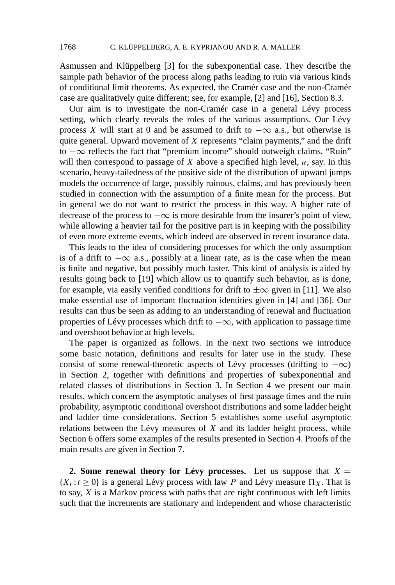Asmussen and Klüppelberg [3] for the subexponential case. They describe the sample path behavior of the process along paths leading to ruin via various kinds of conditional limit theorems. As expected, the Cramér case and the non-Cramér case are qualitatively quite different; see, for example, [2] and [16], Section 8.3.

Our aim is to investigate the non-Cramér case in a general Lévy process setting, which clearly reveals the roles of the various assumptions. Our Lévy process *X* will start at 0 and be assumed to drift to  $-\infty$  a.s., but otherwise is quite general. Upward movement of *X* represents "claim payments," and the drift to −∞ reflects the fact that "premium income" should outweigh claims. "Ruin" will then correspond to passage of *X* above a specified high level, *u*, say. In this scenario, heavy-tailedness of the positive side of the distribution of upward jumps models the occurrence of large, possibly ruinous, claims, and has previously been studied in connection with the assumption of a finite mean for the process. But in general we do not want to restrict the process in this way. A higher rate of decrease of the process to  $-\infty$  is more desirable from the insurer's point of view, while allowing a heavier tail for the positive part is in keeping with the possibility of even more extreme events, which indeed are observed in recent insurance data.

This leads to the idea of considering processes for which the only assumption is of a drift to  $-\infty$  a.s., possibly at a linear rate, as is the case when the mean is finite and negative, but possibly much faster. This kind of analysis is aided by results going back to [19] which allow us to quantify such behavior, as is done, for example, via easily verified conditions for drift to  $\pm \infty$  given in [11]. We also make essential use of important fluctuation identities given in [4] and [36]. Our results can thus be seen as adding to an understanding of renewal and fluctuation properties of Lévy processes which drift to −∞, with application to passage time and overshoot behavior at high levels.

The paper is organized as follows. In the next two sections we introduce some basic notation, definitions and results for later use in the study. These consist of some renewal-theoretic aspects of Lévy processes (drifting to  $-\infty$ ) in Section 2, together with definitions and properties of subexponential and related classes of distributions in Section 3. In Section 4 we present our main results, which concern the asymptotic analyses of first passage times and the ruin probability, asymptotic conditional overshoot distributions and some ladder height and ladder time considerations. Section 5 establishes some useful asymptotic relations between the Lévy measures of *X* and its ladder height process, while Section 6 offers some examples of the results presented in Section 4. Proofs of the main results are given in Section 7.

**2. Some renewal theory for Lévy processes.** Let us suppose that  $X =$  ${X_t : t \ge 0}$  is a general Lévy process with law *P* and Lévy measure  $\Pi_X$ . That is to say, *X* is a Markov process with paths that are right continuous with left limits such that the increments are stationary and independent and whose characteristic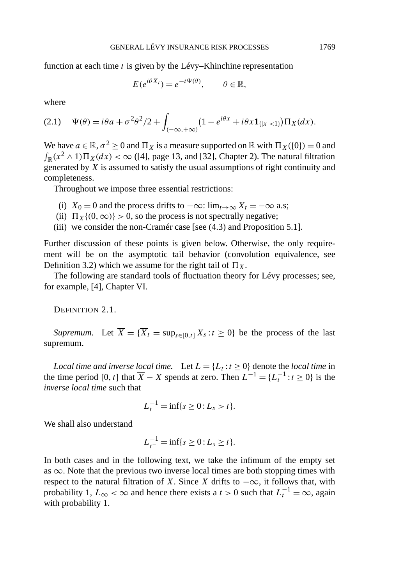function at each time *t* is given by the Lévy–Khinchine representation

$$
E(e^{i\theta X_t})=e^{-t\Psi(\theta)}, \qquad \theta \in \mathbb{R},
$$

where

$$
(2.1) \quad \Psi(\theta) = i\theta a + \sigma^2 \theta^2 / 2 + \int_{(-\infty, +\infty)} \left(1 - e^{i\theta x} + i\theta x \mathbf{1}_{\{|x| < 1\}}\right) \Pi_X(dx).
$$

We have  $a \in \mathbb{R}, \sigma^2 \ge 0$  and  $\Pi_X$  is a measure supported on  $\mathbb{R}$  with  $\Pi_X(\{0\}) = 0$  and  $\int_{\mathbb{R}} (x^2 \wedge 1) \Pi_X(dx) < \infty$  ([4], page 13, and [32], Chapter 2). The natural filtration generated by *X* is assumed to satisfy the usual assumptions of right continuity and completeness.

Throughout we impose three essential restrictions:

- (i) *X*<sub>0</sub> = 0 and the process drifts to  $-\infty$ : lim<sub>*t*→∞</sub> *X<sub>t</sub>* =  $-\infty$  a.s;
- (ii)  $\Pi_X\{(0,\infty)\} > 0$ , so the process is not spectrally negative;
- (iii) we consider the non-Cramér case [see (4.3) and Proposition 5.1].

Further discussion of these points is given below. Otherwise, the only requirement will be on the asymptotic tail behavior (convolution equivalence, see Definition 3.2) which we assume for the right tail of  $\Pi_X$ .

The following are standard tools of fluctuation theory for Lévy processes; see, for example, [4], Chapter VI.

DEFINITION 2.1.

*Supremum.* Let  $\overline{X} = {\overline{X}_t = \sup_{s \in [0,t]} X_s : t \ge 0}$  be the process of the last supremum.

*Local time and inverse local time.* Let  $L = \{L_t : t \geq 0\}$  denote the *local time* in the time period [0, *t*] that  $\overline{X} - X$  spends at zero. Then  $L^{-1} = \{L_t^{-1} : t \ge 0\}$  is the *inverse local time* such that

$$
L_t^{-1} = \inf\{s \ge 0 : L_s > t\}.
$$

We shall also understand

$$
L_{t^-}^{-1} = \inf\{s \ge 0 : L_s \ge t\}.
$$

In both cases and in the following text, we take the infimum of the empty set as  $\infty$ . Note that the previous two inverse local times are both stopping times with respect to the natural filtration of *X*. Since *X* drifts to  $-\infty$ , it follows that, with probability 1,  $L_{\infty} < \infty$  and hence there exists a *t* > 0 such that  $L_t^{-1} = \infty$ , again with probability 1.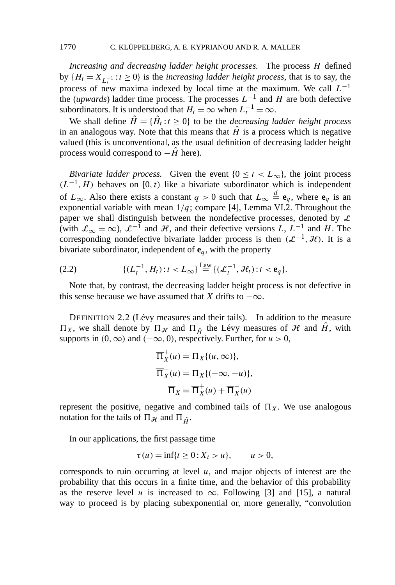*Increasing and decreasing ladder height processes.* The process *H* defined by  ${H_t = X_{L_t^{-1}} : t \ge 0}$  is the *increasing ladder height process*, that is to say, the process of new maxima indexed by local time at the maximum. We call  $L^{-1}$ the (*upwards*) ladder time process. The processes  $L^{-1}$  and *H* are both defective subordinators. It is understood that  $H_t = \infty$  when  $L_t^{-1} = \infty$ .

We shall define  $\hat{H} = {\hat{H}_t : t \geq 0}$  to be the *decreasing ladder height process* in an analogous way. Note that this means that  $\hat{H}$  is a process which is negative valued (this is unconventional, as the usual definition of decreasing ladder height process would correspond to −*H*ˆ here).

*Bivariate ladder process.* Given the event  $\{0 \le t < L_\infty\}$ , the joint process  $(L^{-1}, H)$  behaves on [0*,t*) like a bivariate subordinator which is independent of  $L_{\infty}$ . Also there exists a constant  $q > 0$  such that  $L_{\infty} \stackrel{d}{=} \mathbf{e}_q$ , where  $\mathbf{e}_q$  is an exponential variable with mean  $1/q$ ; compare [4], Lemma VI.2. Throughout the paper we shall distinguish between the nondefective processes, denoted by  $\mathcal L$ (with  $\mathcal{L}_{\infty} = \infty$ ),  $\mathcal{L}^{-1}$  and  $\mathcal{H}$ , and their defective versions *L*,  $L^{-1}$  and *H*. The corresponding nondefective bivariate ladder process is then  $(L^{-1}, H)$ . It is a bivariate subordinator, independent of  $e_q$ , with the property

(2.2) 
$$
\{(L_t^{-1}, H_t): t < L_{\infty}\} \stackrel{\text{Law}}{=} \{(\mathcal{L}_t^{-1}, \mathcal{H}_t): t < \mathbf{e}_q\}.
$$

Note that, by contrast, the decreasing ladder height process is not defective in this sense because we have assumed that *X* drifts to  $-\infty$ .

DEFINITION 2.2 (Lévy measures and their tails). In addition to the measure  $\Pi_X$ , we shall denote by  $\Pi_{\mathcal{H}}$  and  $\Pi_{\hat{H}}$  the Lévy measures of  $\mathcal{H}$  and  $\hat{H}$ , with supports in  $(0, \infty)$  and  $(-\infty, 0)$ , respectively. Further, for  $u > 0$ ,

$$
\overline{\Pi}_X^+(u) = \Pi_X\{(u, \infty)\},
$$
  

$$
\overline{\Pi}_X^-(u) = \Pi_X\{(-\infty, -u)\},
$$
  

$$
\overline{\Pi}_X = \overline{\Pi}_X^+(u) + \overline{\Pi}_X^-(u)
$$

represent the positive, negative and combined tails of  $\Pi_X$ . We use analogous notation for the tails of  $\Pi_{\mathcal{H}}$  and  $\Pi_{\hat{H}}$ .

In our applications, the first passage time

$$
\tau(u) = \inf\{t \ge 0 : X_t > u\}, \quad u > 0,
$$

corresponds to ruin occurring at level *u*, and major objects of interest are the probability that this occurs in a finite time, and the behavior of this probability as the reserve level *u* is increased to  $\infty$ . Following [3] and [15], a natural way to proceed is by placing subexponential or, more generally, "convolution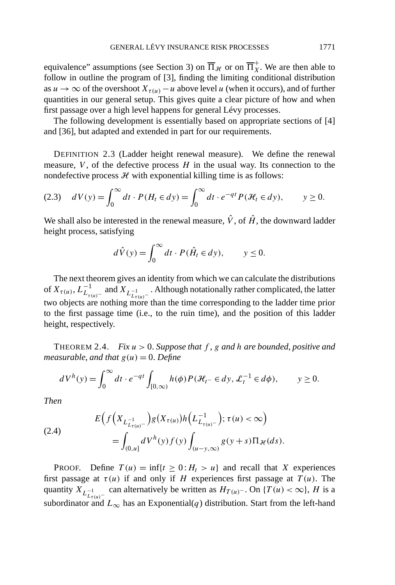equivalence" assumptions (see Section 3) on  $\overline{\Pi}_{\mathcal{H}}$  or on  $\overline{\Pi}_{X}^{+}$ . We are then able to follow in outline the program of [3], finding the limiting conditional distribution as  $u \to \infty$  of the overshoot  $X_{\tau(u)} - u$  above level *u* (when it occurs), and of further quantities in our general setup. This gives quite a clear picture of how and when first passage over a high level happens for general Lévy processes.

The following development is essentially based on appropriate sections of [4] and [36], but adapted and extended in part for our requirements.

DEFINITION 2.3 (Ladder height renewal measure). We define the renewal measure,  $V$ , of the defective process  $H$  in the usual way. Its connection to the nondefective process  $H$  with exponential killing time is as follows:

$$
(2.3) \quad dV(y) = \int_0^\infty dt \cdot P(H_t \in dy) = \int_0^\infty dt \cdot e^{-qt} P(\mathcal{H}_t \in dy), \qquad y \ge 0.
$$

We shall also be interested in the renewal measure,  $\hat{V}$ , of  $\hat{H}$ , the downward ladder height process, satisfying

$$
d\hat{V}(y) = \int_0^\infty dt \cdot P(\hat{H}_t \in dy), \qquad y \le 0.
$$

The next theorem gives an identity from which we can calculate the distributions of  $X_{\tau(u)}$ ,  $L_{L_{\tau(u)}^-}^{-1}$  and  $X_{L_{L_{\tau(u)}^-}^{-1}}$ . Although notationally rather complicated, the latter two objects are nothing more than the time corresponding to the ladder time prior to the first passage time (i.e., to the ruin time), and the position of this ladder height, respectively.

THEOREM 2.4. *Fix u >* 0. *Suppose that f* , *g and h are bounded*, *positive and measurable, and that*  $g(u) = 0$ *. Define* 

$$
dV^{h}(y) = \int_{0}^{\infty} dt \cdot e^{-qt} \int_{[0,\infty)} h(\phi) P(\mathcal{H}_{t^{-}} \in dy, \mathcal{L}_{t}^{-1} \in d\phi), \qquad y \ge 0.
$$

*Then*

(2.4) 
$$
E\Big(f\Big(X_{L_{\tau(u)}^{-1}}\Big)g(X_{\tau(u)})h\Big(L_{L_{\tau(u)}^{-1}}^{-1}\Big);\tau(u)<\infty\Big)\\ = \int_{(0,u]} dV^h(y)f(y)\int_{(u-y,\infty)} g(y+s)\Pi_{\mathcal{H}}(ds).
$$

**PROOF.** Define  $T(u) = \inf\{t \geq 0 : H_t > u\}$  and recall that *X* experiences first passage at  $\tau(u)$  if and only if *H* experiences first passage at  $T(u)$ . The quantity  $X_{L_{t(u)}^{-1}}$  can alternatively be written as  $H_{T(u)^{-}}$ . On  $\{T(u) < \infty\}$ , *H* is a subordinator and  $L_{\infty}$  has an Exponential(*q*) distribution. Start from the left-hand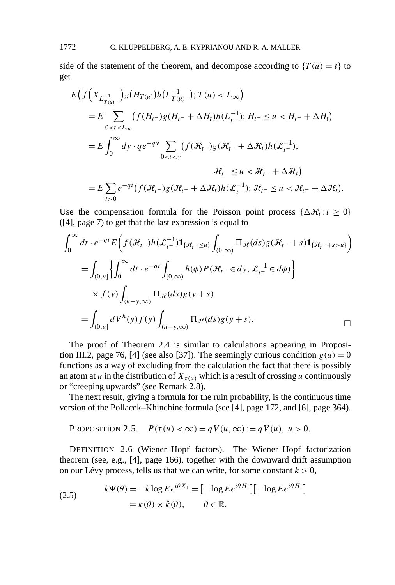side of the statement of the theorem, and decompose according to  ${T(u) = t}$  to get

$$
E\Big(f\Big(X_{L_{T(u)}^{-1}}\Big)g(H_{T(u)})h\Big(L_{T(u)}^{-1}\Big); T(u) < L_{\infty}\Big)
$$
\n
$$
= E\sum_{0 < t < L_{\infty}} \left(f(H_{t-})g(H_{t-} + \Delta H_{t})h\Big(L_{t-}^{-1}\Big); H_{t-} \le u < H_{t-} + \Delta H_{t}\right)
$$
\n
$$
= E\int_{0}^{\infty} dy \cdot q e^{-qy} \sum_{0 < t < y} \left(f\Big(\mathcal{H}_{t-}\Big)g\Big(\mathcal{H}_{t-} + \Delta \mathcal{H}_{t}\Big)h\Big(\mathcal{L}_{t-}^{-1}\Big); H_{t-} \le u < \mathcal{H}_{t-} + \Delta \mathcal{H}_{t}\Big)
$$
\n
$$
= E\sum_{t > 0} e^{-qt} \left(f\Big(\mathcal{H}_{t-}\Big)g\Big(\mathcal{H}_{t-} + \Delta \mathcal{H}_{t}\Big)h\Big(\mathcal{L}_{t-}^{-1}\Big); \mathcal{H}_{t-} \le u < \mathcal{H}_{t-} + \Delta \mathcal{H}_{t}\right).
$$

Use the compensation formula for the Poisson point process  $\{\Delta \mathcal{H}_t : t \geq 0\}$ ([4], page 7) to get that the last expression is equal to

$$
\int_0^{\infty} dt \cdot e^{-qt} E\Big(f(\mathcal{H}_t -)h(\mathcal{L}_{t-}^{-1}) \mathbf{1}_{\{\mathcal{H}_t - \le u\}} \int_{(0,\infty)} \Pi_{\mathcal{H}}(ds) g(\mathcal{H}_{t-} + s) \mathbf{1}_{\{\mathcal{H}_t - +s > u\}} \Big)
$$
  
\n
$$
= \int_{(0,u]} \Big\{ \int_0^{\infty} dt \cdot e^{-qt} \int_{[0,\infty)} h(\phi) P(\mathcal{H}_t - \epsilon dy, \mathcal{L}_{t-}^{-1} \epsilon d\phi) \Big\}
$$
  
\n
$$
\times f(y) \int_{(u-y,\infty)} \Pi_{\mathcal{H}}(ds) g(y+s)
$$
  
\n
$$
= \int_{(0,u]} dV^h(y) f(y) \int_{(u-y,\infty)} \Pi_{\mathcal{H}}(ds) g(y+s).
$$

The proof of Theorem 2.4 is similar to calculations appearing in Proposition III.2, page 76, [4] (see also [37]). The seemingly curious condition  $g(u) = 0$ functions as a way of excluding from the calculation the fact that there is possibly an atom at *u* in the distribution of  $X_{\tau(u)}$  which is a result of crossing *u* continuously or "creeping upwards" (see Remark 2.8).

The next result, giving a formula for the ruin probability, is the continuous time version of the Pollacek–Khinchine formula (see [4], page 172, and [6], page 364).

PROPOSITION 2.5. 
$$
P(\tau(u) < \infty) = qV(u, \infty) := q\overline{V}(u), u > 0.
$$

DEFINITION 2.6 (Wiener–Hopf factors). The Wiener–Hopf factorization theorem (see, e.g., [4], page 166), together with the downward drift assumption on our Lévy process, tells us that we can write, for some constant  $k > 0$ ,

(2.5) 
$$
k\Psi(\theta) = -k \log E e^{i\theta X_1} = [-\log E e^{i\theta H_1}] [-\log E e^{i\theta \hat{H}_1}] = \kappa(\theta) \times \hat{\kappa}(\theta), \qquad \theta \in \mathbb{R}.
$$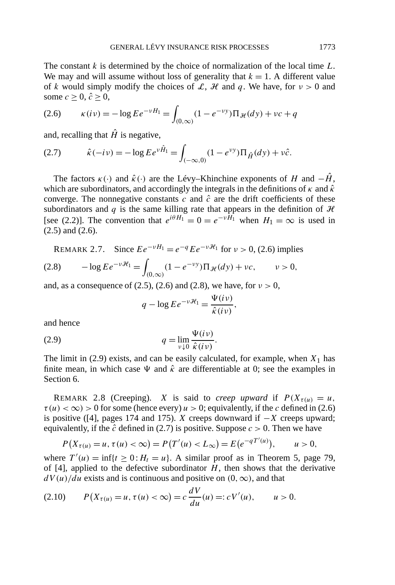The constant *k* is determined by the choice of normalization of the local time *L*. We may and will assume without loss of generality that  $k = 1$ . A different value of *k* would simply modify the choices of L, H and q. We have, for  $\nu > 0$  and some  $c > 0$ ,  $\hat{c} > 0$ ,

(2.6) 
$$
\kappa(iv) = -\log E e^{-vH_1} = \int_{(0,\infty)} (1 - e^{-vy}) \Pi_{\mathcal{H}}(dy) + vc + q
$$

and, recalling that  $\hat{H}$  is negative,

(2.7) 
$$
\hat{\kappa}(-i\nu) = -\log E e^{\nu \hat{H}_1} = \int_{(-\infty,0)} (1 - e^{\nu y}) \Pi_{\hat{H}}(dy) + \nu \hat{c}.
$$

The factors  $\kappa(\cdot)$  and  $\hat{\kappa}(\cdot)$  are the Lévy–Khinchine exponents of *H* and  $-\hat{H}$ , which are subordinators, and accordingly the integrals in the definitions of  $\kappa$  and  $\hat{\kappa}$ converge. The nonnegative constants  $c$  and  $\hat{c}$  are the drift coefficients of these subordinators and  $q$  is the same killing rate that appears in the definition of  $H$ [see (2.2)]. The convention that  $e^{i\theta H_1} = 0 = e^{-\nu H_1}$  when  $H_1 = \infty$  is used in (2.5) and (2.6).

REMARK 2.7. Since  $Ee^{-vH_1} = e^{-q}Ee^{-vH_1}$  for  $v > 0$ , (2.6) implies  $-\log Ee^{-\nu\mathcal{H}_1} =$  $(2.8)$   $-\log E e^{-\nu \mathcal{H}_1} = \int_{(0,\infty)} (1 - e^{-\nu y}) \Pi_{\mathcal{H}}(dy) + \nu c, \qquad \nu > 0,$ 

and, as a consequence of (2.5), (2.6) and (2.8), we have, for  $\nu > 0$ ,

$$
q - \log E e^{-\nu \mathcal{H}_1} = \frac{\Psi(i \nu)}{\hat{\kappa}(i \nu)},
$$

and hence

$$
(2.9) \t\t q = \lim_{v \downarrow 0} \frac{\Psi(iv)}{\hat{\kappa}(iv)}.
$$

The limit in  $(2.9)$  exists, and can be easily calculated, for example, when  $X_1$  has finite mean, in which case  $\Psi$  and  $\hat{\kappa}$  are differentiable at 0; see the examples in Section 6.

REMARK 2.8 (Creeping). *X* is said to *creep upward* if  $P(X_{\tau(u)}) = u$ ,  $\tau(u) < \infty$ ) > 0 for some (hence every)  $u > 0$ ; equivalently, if the *c* defined in (2.6) is positive ([4], pages 174 and 175). *X* creeps downward if −*X* creeps upward; equivalently, if the  $\hat{c}$  defined in (2.7) is positive. Suppose  $c > 0$ . Then we have

$$
P(X_{\tau(u)} = u, \tau(u) < \infty) = P(T'(u) < L_{\infty}) = E(e^{-qT'(u)}), \quad u > 0,
$$

where  $T'(u) = \inf\{t \ge 0 : H_t = u\}$ . A similar proof as in Theorem 5, page 79, of  $[4]$ , applied to the defective subordinator  $H$ , then shows that the derivative  $dV(u)/du$  exists and is continuous and positive on  $(0, \infty)$ , and that

(2.10) 
$$
P(X_{\tau(u)} = u, \tau(u) < \infty) = c \frac{dV}{du}(u) =: cV'(u), \qquad u > 0.
$$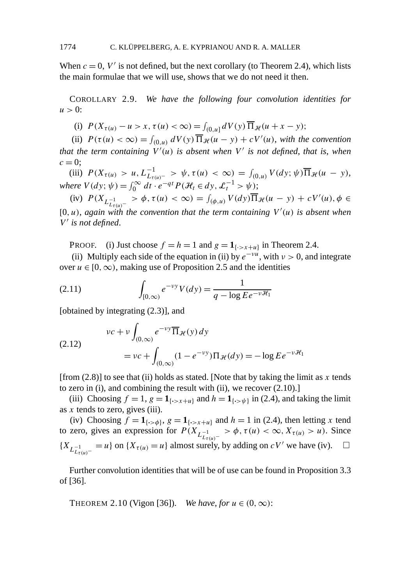When  $c = 0$ ,  $V'$  is not defined, but the next corollary (to Theorem 2.4), which lists the main formulae that we will use, shows that we do not need it then.

COROLLARY 2.9. *We have the following four convolution identities for*  $u > 0$ :

(i)  $P(X_{\tau(u)} - u > x, \tau(u) < \infty) = \int_{(0,u]} dV(y) \overline{\Pi}_{\mathcal{H}}(u + x - y);$ 

(ii)  $P(\tau(u) < \infty) = \int_{(0,u)} dV(y) \overline{\Pi}_{\mathcal{H}}(u-y) + cV'(u)$ , with the convention that the term containing  $V'(u)$  is absent when  $V'$  is not defined, that is, when  $c = 0;$ 

(iii)  $P(X_{\tau(u)} > u, L_{L_{\tau(u)}^{-}}^{-1} > \psi, \tau(u) < \infty) = \int_{(0,u)} V(dy; \psi) \overline{\Pi}_{\mathcal{H}}(u - y),$ *where*  $V(dy; \psi) = \int_0^\infty dt \cdot e^{-qt} P(\mathcal{H}_t \in dy, \mathcal{L}_t^{-1} > \psi);$ 

(iv)  $P(X_{L_{\tau(u)}^{-1}} > \phi, \tau(u) < \infty) = \int_{(\phi, u)} V(dy) \overline{\Pi}_{\mathcal{H}}(u - y) + cV'(u), \phi \in$  $[0, u)$ , *again with the convention that the term containing*  $V'(u)$  *is absent when V is not defined*.

PROOF. (i) Just choose  $f = h = 1$  and  $g = 1$ <sub>{ $\cdot > x + u$ }</sub> in Theorem 2.4.

(ii) Multiply each side of the equation in (ii) by  $e^{-\nu u}$ , with  $\nu > 0$ , and integrate over  $u \in [0, \infty)$ , making use of Proposition 2.5 and the identities

(2.11) 
$$
\int_{[0,\infty)} e^{-\nu y} V(dy) = \frac{1}{q - \log E e^{-\nu \mathcal{H}_1}}
$$

[obtained by integrating (2.3)], and

(2.12)  

$$
vc + v \int_{(0,\infty)} e^{-vy} \overline{\Pi}_{\mathcal{H}}(y) dy
$$

$$
= vc + \int_{(0,\infty)} (1 - e^{-vy}) \Pi_{\mathcal{H}}(dy) = -\log E e^{-v\mathcal{H}_1}
$$

[from (2.8)] to see that (ii) holds as stated. [Note that by taking the limit as *x* tends to zero in (i), and combining the result with (ii), we recover (2.10).]

(iii) Choosing  $f = 1$ ,  $g = 1$ { $\cdot$ > $x+u$ } and  $h = 1$ { $\cdot$ > $\cdot$  $\cdot$  $y$ } in (2.4), and taking the limit as *x* tends to zero, gives (iii).

(iv) Choosing  $f = \mathbf{1}_{\{\cdot \geq \phi\}}$ ,  $g = \mathbf{1}_{\{\cdot \geq x + u\}}$  and  $h = 1$  in (2.4), then letting x tend to zero, gives an expression for  $P(X_{L_{t(u)}^{-1}} > \phi, \tau(u) < \infty, X_{\tau(u)} > u)$ . Since  ${X_{L_{\tau(u)}^{-1}} = u}$  on  ${X_{\tau(u)} = u}$  almost surely, by adding on *cV'* we have (iv). □

Further convolution identities that will be of use can be found in Proposition 3.3 of [36].

THEOREM 2.10 (Vigon [36]). *We have, for*  $u \in (0, \infty)$ :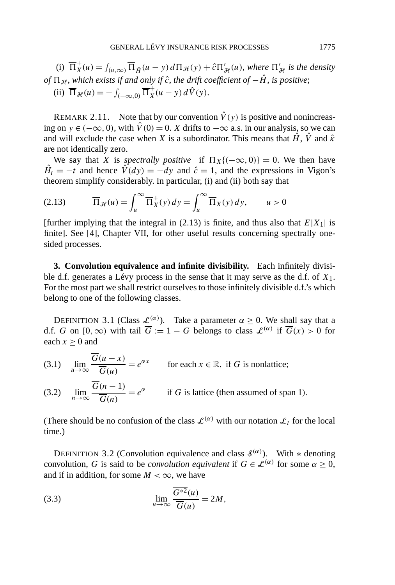(i)  $\overline{\Pi}_{X}^{+}(u) = \int_{(u,\infty)} \overline{\Pi}_{\hat{H}}(u-y) d\Pi_{\mathcal{H}}(y) + \hat{c}\Pi'_{\mathcal{H}}(u)$ , where  $\Pi'_{\mathcal{H}}$  is the density *of*  $\Pi_{\mathcal{H}}$ , *which exists if and only if*  $\hat{c}$ , *the drift coefficient of*  $-\hat{H}$ , *is positive*; (ii)  $\overline{\Pi}_{\mathcal{H}}(u) = -\int_{(-\infty,0)} \overline{\Pi}_{X}^{+}(u - y) d\hat{V}(y)$ .

REMARK 2.11. Note that by our convention  $\hat{V}(y)$  is positive and nonincreasing on *y* ∈  $(-\infty, 0)$ , with  $\hat{V}(0) = 0$ . *X* drifts to  $-\infty$  a.s. in our analysis, so we can and will exclude the case when *X* is a subordinator. This means that  $\hat{H}$ ,  $\hat{V}$  and  $\hat{\kappa}$ are not identically zero.

We say that *X* is *spectrally positive* if  $\Pi_X$ {(-∞, 0)} = 0. We then have  $\hat{H}_t = -t$  and hence  $\hat{V}(dy) = -dy$  and  $\hat{c} = 1$ , and the expressions in Vigon's theorem simplify considerably. In particular, (i) and (ii) both say that

(2.13) 
$$
\overline{\Pi}_{\mathcal{H}}(u) = \int_{u}^{\infty} \overline{\Pi}_{X}^{+}(y) dy = \int_{u}^{\infty} \overline{\Pi}_{X}(y) dy, \qquad u > 0
$$

[further implying that the integral in  $(2.13)$  is finite, and thus also that  $E|X_1|$  is finite]. See [4], Chapter VII, for other useful results concerning spectrally onesided processes.

**3. Convolution equivalence and infinite divisibility.** Each infinitely divisible d.f. generates a Lévy process in the sense that it may serve as the d.f. of *X*1. For the most part we shall restrict ourselves to those infinitely divisible d.f.'s which belong to one of the following classes.

DEFINITION 3.1 (Class  $\mathcal{L}^{(\alpha)}$ ). Take a parameter  $\alpha \geq 0$ . We shall say that a d.f. *G* on  $[0, \infty)$  with tail  $\overline{G} := 1 - G$  belongs to class  $\mathcal{L}^{(\alpha)}$  if  $\overline{G}(x) > 0$  for each  $x \geq 0$  and

(3.1) 
$$
\lim_{u \to \infty} \frac{\overline{G}(u - x)}{\overline{G}(u)} = e^{\alpha x}
$$
 for each  $x \in \mathbb{R}$ , if G is nonlattice;  
(3.2) 
$$
\lim_{n \to \infty} \frac{\overline{G}(n - 1)}{\overline{G}(n)} = e^{\alpha}
$$
 if G is lattice (then assumed of span 1).

(There should be no confusion of the class  $\mathcal{L}^{(\alpha)}$  with our notation  $\mathcal{L}_t$  for the local time.)

DEFINITION 3.2 (Convolution equivalence and class  $\mathcal{S}^{(\alpha)}$ ). With  $*$  denoting convolution, *G* is said to be *convolution equivalent* if  $G \in \mathcal{L}^{(\alpha)}$  for some  $\alpha \geq 0$ , and if in addition, for some  $M < \infty$ , we have

(3.3) 
$$
\lim_{u \to \infty} \frac{\overline{G^{*2}}(u)}{\overline{G}(u)} = 2M,
$$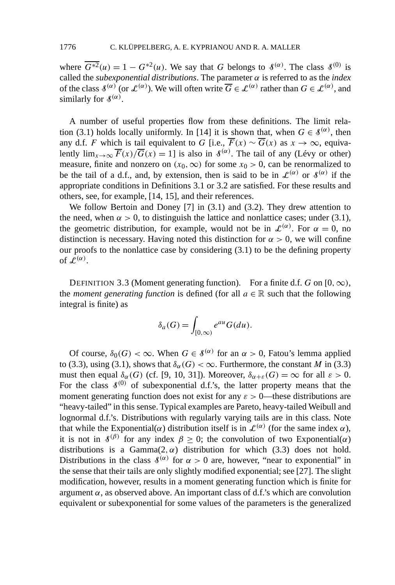where  $\overline{G^{*2}(u)} = 1 - G^{*2}(u)$ . We say that *G* belongs to  $\mathcal{S}^{(\alpha)}$ . The class  $\mathcal{S}^{(0)}$  is called the *subexponential distributions*. The parameter *α* is referred to as the *index* of the class  $\mathcal{S}^{(\alpha)}$  (or  $\mathcal{L}^{(\alpha)}$ ). We will often write  $\overline{G} \in \mathcal{L}^{(\alpha)}$  rather than  $G \in \mathcal{L}^{(\alpha)}$ , and similarly for  $\mathcal{S}^{(\alpha)}$ .

A number of useful properties flow from these definitions. The limit relation (3.1) holds locally uniformly. In [14] it is shown that, when  $G \in \mathcal{S}^{(\alpha)}$ , then any d.f. *F* which is tail equivalent to *G* [i.e.,  $\overline{F}(x) \sim \overline{G}(x)$  as  $x \to \infty$ , equivalently  $\lim_{x\to\infty} \overline{F}(x)/\overline{G}(x) = 1$  is also in  $\delta^{(\alpha)}$ . The tail of any (Lévy or other) measure, finite and nonzero on  $(x_0, \infty)$  for some  $x_0 > 0$ , can be renormalized to be the tail of a d.f., and, by extension, then is said to be in  $\mathcal{L}^{(\alpha)}$  or  $\mathcal{S}^{(\alpha)}$  if the appropriate conditions in Definitions 3.1 or 3.2 are satisfied. For these results and others, see, for example, [14, 15], and their references.

We follow Bertoin and Doney [7] in (3.1) and (3.2). They drew attention to the need, when  $\alpha > 0$ , to distinguish the lattice and nonlattice cases; under (3.1), the geometric distribution, for example, would not be in  $\mathcal{L}^{(\alpha)}$ . For  $\alpha = 0$ , no distinction is necessary. Having noted this distinction for  $\alpha > 0$ , we will confine our proofs to the nonlattice case by considering (3.1) to be the defining property of  $\mathcal{L}^{(\alpha)}$ .

DEFINITION 3.3 (Moment generating function). For a finite d.f. *G* on [0,  $\infty$ ), the *moment generating function* is defined (for all  $a \in \mathbb{R}$  such that the following integral is finite) as

$$
\delta_a(G) = \int_{[0,\infty)} e^{au} G(du).
$$

Of course,  $\delta_0(G) < \infty$ . When  $G \in \mathcal{S}^{(\alpha)}$  for an  $\alpha > 0$ , Fatou's lemma applied to (3.3), using (3.1), shows that  $\delta_{\alpha}(G) < \infty$ . Furthermore, the constant *M* in (3.3) must then equal  $\delta_{\alpha}(G)$  (cf. [9, 10, 31]). Moreover,  $\delta_{\alpha+\varepsilon}(G) = \infty$  for all  $\varepsilon > 0$ . For the class  $\mathcal{S}^{(0)}$  of subexponential d.f.'s, the latter property means that the moment generating function does not exist for any  $\varepsilon > 0$ —these distributions are "heavy-tailed" in this sense. Typical examples are Pareto, heavy-tailed Weibull and lognormal d.f.'s. Distributions with regularly varying tails are in this class. Note that while the Exponential( $\alpha$ ) distribution itself is in  $\mathcal{L}^{(\alpha)}$  (for the same index  $\alpha$ ), it is not in  $\delta^{(\beta)}$  for any index  $\beta \geq 0$ ; the convolution of two Exponential( $\alpha$ ) distributions is a Gamma $(2, \alpha)$  distribution for which  $(3.3)$  does not hold. Distributions in the class  $\delta^{(\alpha)}$  for  $\alpha > 0$  are, however, "near to exponential" in the sense that their tails are only slightly modified exponential; see [27]. The slight modification, however, results in a moment generating function which is finite for argument  $\alpha$ , as observed above. An important class of d.f.'s which are convolution equivalent or subexponential for some values of the parameters is the generalized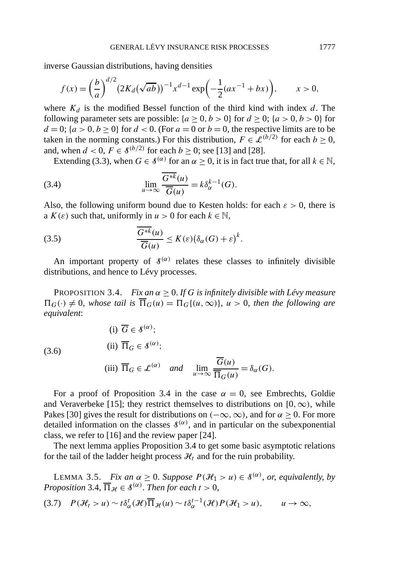inverse Gaussian distributions, having densities

$$
f(x) = \left(\frac{b}{a}\right)^{d/2} \left(2K_d(\sqrt{ab})\right)^{-1} x^{d-1} \exp\left(-\frac{1}{2}(ax^{-1} + bx)\right), \qquad x > 0,
$$

where  $K_d$  is the modified Bessel function of the third kind with index  $d$ . The following parameter sets are possible:  ${a > 0, b > 0}$  for  $d > 0$ ;  ${a > 0, b > 0}$  for  $d = 0$ ;  $\{a > 0, b \ge 0\}$  for  $d < 0$ . (For  $a = 0$  or  $b = 0$ , the respective limits are to be taken in the norming constants.) For this distribution,  $F \in \mathcal{L}^{(b/2)}$  for each  $b > 0$ , and, when  $d < 0$ ,  $F \in \mathcal{S}^{(b/2)}$  for each  $b > 0$ ; see [13] and [28].

Extending (3.3), when  $G \in \mathcal{S}^{(\alpha)}$  for an  $\alpha > 0$ , it is in fact true that, for all  $k \in \mathbb{N}$ ,

(3.4) 
$$
\lim_{u \to \infty} \frac{\overline{G^{*k}}(u)}{\overline{G}(u)} = k \delta_{\alpha}^{k-1}(G).
$$

Also, the following uniform bound due to Kesten holds: for each  $\varepsilon > 0$ , there is a  $K(\varepsilon)$  such that, uniformly in  $u > 0$  for each  $k \in \mathbb{N}$ ,

(3.5) 
$$
\frac{\overline{G^{*k}}(u)}{\overline{G}(u)} \leq K(\varepsilon)\big(\delta_{\alpha}(G) + \varepsilon\big)^k.
$$

An important property of  $\mathcal{S}^{(\alpha)}$  relates these classes to infinitely divisible distributions, and hence to Lévy processes.

PROPOSITION 3.4. *Fix an*  $\alpha \geq 0$ . *If G is infinitely divisible with Lévy measure*  $\Pi$ <sup>*G*</sup>(·*i*)  $\neq$  0, *whose tail is*  $\overline{\Pi}$ *G*(*u*) =  $\Pi$ *G*{(*u,* ∞)}, *u* > 0, *then the following are equivalent*:

(3.6)  
\n(i) 
$$
\overline{G} \in \mathcal{S}^{(\alpha)}
$$
;  
\n(ii)  $\overline{\Pi}_G \in \mathcal{S}^{(\alpha)}$ ;  
\n(iii)  $\overline{\Pi}_G \in \mathcal{L}^{(\alpha)}$  and  $\lim_{u \to \infty} \frac{\overline{G}(u)}{\overline{\Pi}_G(u)} = \delta_\alpha(G)$ .

For a proof of Proposition 3.4 in the case  $\alpha = 0$ , see Embrechts, Goldie and Veraverbeke [15]; they restrict themselves to distributions on  $[0, \infty)$ , while Pakes [30] gives the result for distributions on  $(-\infty, \infty)$ , and for  $\alpha > 0$ . For more detailed information on the classes  $\mathcal{S}^{(\alpha)}$ , and in particular on the subexponential class, we refer to [16] and the review paper [24].

The next lemma applies Proposition 3.4 to get some basic asymptotic relations for the tail of the ladder height process  $\mathcal{H}_t$  and for the ruin probability.

LEMMA 3.5. *Fix an*  $\alpha \geq 0$ . *Suppose*  $P(\mathcal{H}_1 > u) \in \mathcal{S}^{(\alpha)}$ , *or, equivalently, by Proposition* 3.4,  $\overline{\Pi}_{\mathcal{H}} \in \mathcal{S}^{(\alpha)}$ . *Then for each*  $t > 0$ ,

$$
(3.7) \quad P(\mathcal{H}_t > u) \sim t \delta_\alpha^t(\mathcal{H}) \overline{\Pi}_{\mathcal{H}}(u) \sim t \delta_\alpha^{t-1}(\mathcal{H}) P(\mathcal{H}_1 > u), \qquad u \to \infty,
$$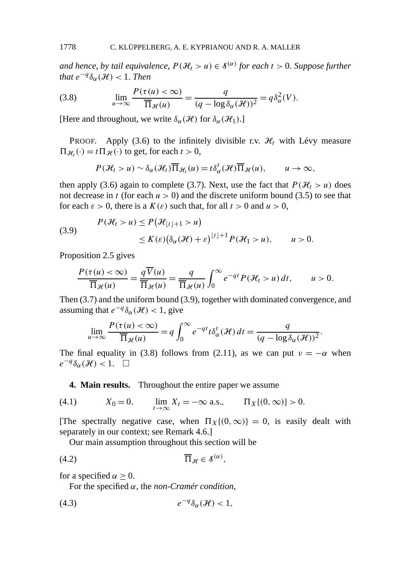*and hence, by tail equivalence,*  $P(\mathcal{H}_t > u) \in \mathcal{S}^{(\alpha)}$  *for each*  $t > 0$ *. Suppose further that*  $e^{-q} \delta_{\alpha}(\mathcal{H}) < 1$ . *Then* 

(3.8) 
$$
\lim_{u \to \infty} \frac{P(\tau(u) < \infty)}{\overline{\Pi}_{\mathcal{H}}(u)} = \frac{q}{(q - \log \delta_{\alpha}(\mathcal{H}))^2} = q \delta_{\alpha}^2(V).
$$

[Here and throughout, we write  $\delta_{\alpha}(\mathcal{H})$  for  $\delta_{\alpha}(\mathcal{H}_1)$ .]

PROOF. Apply (3.6) to the infinitely divisible r.v.  $\mathcal{H}_t$  with Lévy measure  $\Pi_{\mathcal{H}_t}(\cdot) = t \Pi_{\mathcal{H}}(\cdot)$  to get, for each  $t > 0$ ,

$$
P(\mathcal{H}_t > u) \sim \delta_\alpha(\mathcal{H}_t) \overline{\Pi}_{\mathcal{H}_t}(u) = t \delta_\alpha^t(\mathcal{H}) \overline{\Pi}_{\mathcal{H}}(u), \qquad u \to \infty,
$$

then apply (3.6) again to complete (3.7). Next, use the fact that  $P(H_t > u)$  does not decrease in *t* (for each  $u > 0$ ) and the discrete uniform bound (3.5) to see that for each  $\varepsilon > 0$ , there is a  $K(\varepsilon)$  such that, for all  $t > 0$  and  $u > 0$ ,

(3.9) 
$$
P(\mathcal{H}_t > u) \le P(\mathcal{H}_{\lfloor t \rfloor + 1} > u)
$$

$$
\le K(\varepsilon)(\delta_\alpha(\mathcal{H}) + \varepsilon)^{\lfloor t \rfloor + 1} P(\mathcal{H}_1 > u), \qquad u > 0.
$$

Proposition 2.5 gives

$$
\frac{P(\tau(u) < \infty)}{\overline{\Pi}_{\mathcal{H}}(u)} = \frac{q \overline{V}(u)}{\overline{\Pi}_{\mathcal{H}}(u)} = \frac{q}{\overline{\Pi}_{\mathcal{H}}(u)} \int_0^\infty e^{-qt} P(\mathcal{H}_t > u) dt, \qquad u > 0.
$$

Then (3.7) and the uniform bound (3.9), together with dominated convergence, and assuming that  $e^{-q}\delta_{\alpha}(\mathcal{H}) < 1$ , give

$$
\lim_{u \to \infty} \frac{P(\tau(u) < \infty)}{\overline{\Pi}_{\mathcal{H}}(u)} = q \int_0^\infty e^{-qt} t \delta_\alpha^t(\mathcal{H}) dt = \frac{q}{(q - \log \delta_\alpha(\mathcal{H}))^2}.
$$

The final equality in (3.8) follows from (2.11), as we can put  $\nu = -\alpha$  when  $e^{-q}\delta_{\alpha}(\mathcal{H}) < 1.$   $\Box$ 

**4. Main results.** Throughout the entire paper we assume

(4.1) 
$$
X_0 = 0
$$
,  $\lim_{t \to \infty} X_t = -\infty \text{ a.s.}, \qquad \Pi_X\{(0, \infty)\} > 0.$ 

[The spectrally negative case, when  $\Pi_X\{(0,\infty)\}=0$ , is easily dealt with separately in our context; see Remark 4.6.]

Our main assumption throughout this section will be

$$
(4.2) \t\t \overline{\Pi}_{\mathcal{H}} \in \mathcal{S}^{(\alpha)},
$$

for a specified  $\alpha \geq 0$ .

For the specified *α*, the *non-Cramér condition*,

$$
(4.3) \t\t\t e^{-q}\delta_{\alpha}(\mathcal{H}) < 1,
$$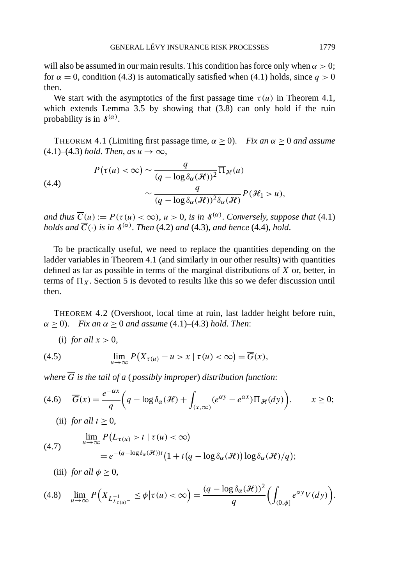will also be assumed in our main results. This condition has force only when  $\alpha > 0$ ; for  $\alpha = 0$ , condition (4.3) is automatically satisfied when (4.1) holds, since  $q > 0$ then.

We start with the asymptotics of the first passage time  $\tau(u)$  in Theorem 4.1, which extends Lemma 3.5 by showing that (3.8) can only hold if the ruin probability is in  $\mathcal{S}^{(\alpha)}$ .

THEOREM 4.1 (Limiting first passage time,  $\alpha > 0$ ). *Fix an*  $\alpha > 0$  *and assume*  $(4.1)$ – $(4.3)$  *hold. Then, as*  $u \rightarrow \infty$ ,

(4.4)  

$$
P(\tau(u) < \infty) \sim \frac{q}{(q - \log \delta_{\alpha}(\mathcal{H}))^2} \overline{\Pi}_{\mathcal{H}}(u)
$$

$$
\sim \frac{q}{(q - \log \delta_{\alpha}(\mathcal{H}))^2 \delta_{\alpha}(\mathcal{H})} P(\mathcal{H}_1 > u),
$$

*and thus*  $\overline{C}(u) := P(\tau(u) < \infty)$ ,  $u > 0$ , *is in*  $\mathcal{S}^{(\alpha)}$ . *Conversely*, *suppose that* (4.1) *holds and*  $\overline{C}(\cdot)$  *is in*  $\mathcal{S}^{(\alpha)}$ *. Then* (4.2) *and* (4.3)*, and hence* (4.4)*, hold.* 

To be practically useful, we need to replace the quantities depending on the ladder variables in Theorem 4.1 (and similarly in our other results) with quantities defined as far as possible in terms of the marginal distributions of *X* or, better, in terms of  $\Pi_X$ . Section 5 is devoted to results like this so we defer discussion until then.

THEOREM 4.2 (Overshoot, local time at ruin, last ladder height before ruin,  $\alpha$  > 0). *Fix an*  $\alpha$  > 0 *and assume* (4.1)–(4.3) *hold. Then*:

(i) *for all*  $x > 0$ ,

(4.5) 
$$
\lim_{u \to \infty} P(X_{\tau(u)} - u > x \mid \tau(u) < \infty) = \overline{G}(x),
$$

*where*  $\overline{G}$  *is the tail of a (possibly improper) distribution function:* 

$$
(4.6) \quad \overline{G}(x) = \frac{e^{-\alpha x}}{q} \bigg( q - \log \delta_{\alpha}(\mathcal{H}) + \int_{(x,\infty)} (e^{\alpha y} - e^{\alpha x}) \Pi_{\mathcal{H}}(dy) \bigg), \qquad x \ge 0;
$$

(ii) *for all*  $t > 0$ ,

(4.7) 
$$
\lim_{u \to \infty} P(L_{\tau(u)} > t \mid \tau(u) < \infty)
$$

$$
= e^{-(q - \log \delta_{\alpha}(\mathcal{H}))t} \left(1 + t(q - \log \delta_{\alpha}(\mathcal{H})) \log \delta_{\alpha}(\mathcal{H})/q\right);
$$

(iii) *for all*  $\phi > 0$ ,

$$
(4.8)\quad \lim_{u\to\infty}P\Big(X_{L_{t(u)}^{-1}}\leq\phi\big|\tau(u)<\infty\Big)=\frac{(q-\log\delta_{\alpha}(\mathcal{H}))^{2}}{q}\Big(\int_{(0,\phi]}e^{\alpha y}V(dy)\Big).
$$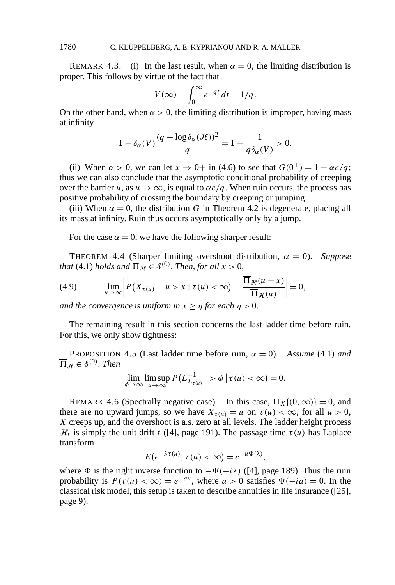REMARK 4.3. (i) In the last result, when  $\alpha = 0$ , the limiting distribution is proper. This follows by virtue of the fact that

$$
V(\infty) = \int_0^\infty e^{-qt} dt = 1/q.
$$

On the other hand, when  $\alpha > 0$ , the limiting distribution is improper, having mass at infinity

$$
1 - \delta_{\alpha}(V) \frac{(q - \log \delta_{\alpha}(\mathcal{H}))^2}{q} = 1 - \frac{1}{q \delta_{\alpha}(V)} > 0.
$$

(ii) When  $\alpha > 0$ , we can let  $x \to 0^+$  in (4.6) to see that  $\overline{G}(0^+) = 1 - \alpha c/q$ ; thus we can also conclude that the asymptotic conditional probability of creeping over the barrier *u*, as  $u \to \infty$ , is equal to  $\alpha c/q$ . When ruin occurs, the process has positive probability of crossing the boundary by creeping or jumping.

(iii) When  $\alpha = 0$ , the distribution *G* in Theorem 4.2 is degenerate, placing all its mass at infinity. Ruin thus occurs asymptotically only by a jump.

For the case  $\alpha = 0$ , we have the following sharper result:

THEOREM 4.4 (Sharper limiting overshoot distribution,  $\alpha = 0$ ). *Suppose that* (4.1) *holds and*  $\overline{\Pi}_{\mathcal{H}} \in \mathcal{S}^{(0)}$ . *Then, for all*  $x > 0$ ,

(4.9) 
$$
\lim_{u \to \infty} \left| P(X_{\tau(u)} - u > x \mid \tau(u) < \infty) - \frac{\overline{\Pi}_{\mathcal{H}}(u+x)}{\overline{\Pi}_{\mathcal{H}}(u)} \right| = 0,
$$

*and the convergence is uniform in*  $x \geq \eta$  *for each*  $\eta > 0$ .

The remaining result in this section concerns the last ladder time before ruin. For this, we only show tightness:

PROPOSITION 4.5 (Last ladder time before ruin,  $\alpha = 0$ ). *Assume* (4.1) *and*  $\overline{\Pi}_{\mathcal{H}} \in \mathcal{S}^{(0)}$ . *Then* 

$$
\lim_{\phi \to \infty} \limsup_{u \to \infty} P(L^{-1}_{L_{\tau(u)}-} > \phi \mid \tau(u) < \infty) = 0.
$$

REMARK 4.6 (Spectrally negative case). In this case,  $\Pi_X\{(0,\infty)\}=0$ , and there are no upward jumps, so we have  $X_{\tau(u)} = u$  on  $\tau(u) < \infty$ , for all  $u > 0$ , *X* creeps up, and the overshoot is a.s. zero at all levels. The ladder height process  $\mathcal{H}_t$  is simply the unit drift *t* ([4], page 191). The passage time  $\tau(u)$  has Laplace transform

$$
E(e^{-\lambda \tau(u)}; \tau(u) < \infty) = e^{-u\Phi(\lambda)},
$$

where  $\Phi$  is the right inverse function to  $-\Psi(-i\lambda)$  ([4], page 189). Thus the ruin probability is  $P(\tau(u) < \infty) = e^{-au}$ , where  $a > 0$  satisfies  $\Psi(-ia) = 0$ . In the classical risk model, this setup is taken to describe annuities in life insurance ([25], page 9).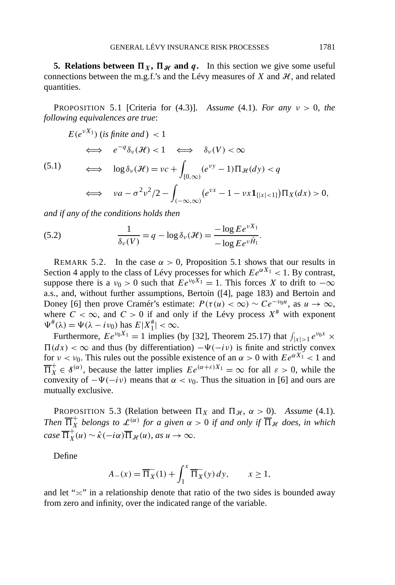**5. Relations between**  $\Pi_X$ ,  $\Pi_{\mathcal{H}}$  and  $q$ . In this section we give some useful connections between the m.g.f.'s and the Lévy measures of  $X$  and  $H$ , and related quantities.

PROPOSITION 5.1 [Criteria for (4.3)]. *Assume* (4.1). *For any ν >* 0, *the following equivalences are true*:

$$
E(e^{\nu X_1}) \text{ (is finite and)} < 1
$$
  

$$
\iff e^{-q} \delta_{\nu}(\mathcal{H}) < 1 \iff \delta_{\nu}(V) < \infty
$$

(5.1)

$$
\iff \log \delta_{\nu}(\mathcal{H}) = \nu c + \int_{[0,\infty)} (e^{\nu y} - 1) \Pi_{\mathcal{H}}(dy) < q
$$
\n
$$
\iff \nu a - \sigma^2 \nu^2 / 2 - \int_{(-\infty,\infty)} (e^{\nu x} - 1 - \nu x \mathbf{1}_{\{|x| < 1\}}) \Pi_X(dx) > 0,
$$

*and if any of the conditions holds then*

(5.2) 
$$
\frac{1}{\delta_v(V)} = q - \log \delta_v(\mathcal{H}) = \frac{-\log E e^{vX_1}}{-\log E e^{v\hat{H}_1}}.
$$

REMARK 5.2. In the case  $\alpha > 0$ , Proposition 5.1 shows that our results in Section 4 apply to the class of Lévy processes for which  $Ee^{\alpha X_1} < 1$ . By contrast, suppose there is a  $v_0 > 0$  such that  $E e^{v_0 X_1} = 1$ . This forces *X* to drift to  $-\infty$ a.s., and, without further assumptions, Bertoin ([4], page 183) and Bertoin and Doney [6] then prove Cramér's estimate:  $P(\tau(u) < \infty) \sim Ce^{-\nu_0 u}$ , as  $u \to \infty$ , where  $C < \infty$ , and  $C > 0$  if and only if the Lévy process  $X^{\#}$  with exponent  $\Psi^{\#}(\lambda) = \Psi(\lambda - i\nu_0)$  has  $E|X_1^{\#}| < \infty$ .

Furthermore,  $E e^{v_0 X_1} = 1$  implies (by [32], Theorem 25.17) that  $\int_{|x| > 1} e^{v_0 x} \times$  $\Pi(dx) < \infty$  and thus (by differentiation)  $-\Psi(-i\nu)$  is finite and strictly convex for  $\nu < \nu_0$ . This rules out the possible existence of an  $\alpha > 0$  with  $E e^{\alpha X_1} < 1$  and  $\overline{\Pi}_X^+ \in \mathcal{S}^{(\alpha)}$ , because the latter implies  $E e^{(\alpha+\varepsilon)X_1} = \infty$  for all  $\varepsilon > 0$ , while the convexity of  $-\Psi(-i\nu)$  means that  $\alpha < \nu_0$ . Thus the situation in [6] and ours are mutually exclusive.

PROPOSITION 5.3 (Relation between  $\Pi_X$  and  $\Pi_{\mathcal{H}}$ ,  $\alpha > 0$ ). *Assume* (4.1). *Then*  $\overline{\Pi}_X^+$  *belongs to*  $\mathcal{L}^{(\alpha)}$  *for a given*  $\alpha > 0$  *if and only if*  $\overline{\Pi}_\mathcal{H}$  *does, in which*  $\overline{\Pi}_X^+(u) \sim \hat{\kappa}(-i\alpha) \overline{\Pi}_{\mathcal{H}}(u), \text{ as } u \to \infty.$ 

Define

$$
A_{-}(x) = \overline{\Pi}_X(1) + \int_1^x \overline{\Pi}_X(y) \, dy, \qquad x \ge 1,
$$

and let " $\approx$ " in a relationship denote that ratio of the two sides is bounded away from zero and infinity, over the indicated range of the variable.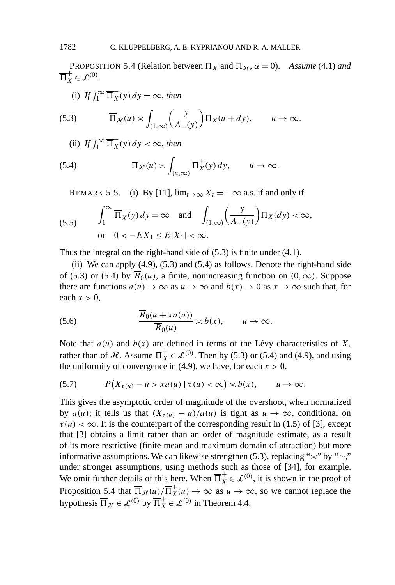PROPOSITION 5.4 (Relation between  $\Pi_X$  and  $\Pi_{\mathcal{H}}$ ,  $\alpha = 0$ ). *Assume* (4.1) *and*  $\overline{\Pi}_X^+ \in \mathcal{L}^{(0)}$ .

(i) *If*  $\int_1^\infty \overline{\Pi}_X^-(y) dy = \infty$ , *then* 

(5.3) 
$$
\overline{\Pi}_{\mathcal{H}}(u) \asymp \int_{(1,\infty)} \left(\frac{y}{A_{-}(y)}\right) \Pi_{X}(u+dy), \qquad u \to \infty.
$$

(ii) *If*  $\int_1^\infty \overline{\Pi}_X^-(y) dy < \infty$ , then

(5.4) 
$$
\overline{\Pi}_{\mathcal{H}}(u) \asymp \int_{(u,\infty)} \overline{\Pi}_X^+(y) \, dy, \qquad u \to \infty.
$$

REMARK 5.5. (i) By [11],  $\lim_{t\to\infty} X_t = -\infty$  a.s. if and only if

(5.5) 
$$
\int_{1}^{\infty} \overline{\Pi}_{X}(y) dy = \infty \text{ and } \int_{(1,\infty)} \left(\frac{y}{A_{-}(y)}\right) \Pi_{X}(dy) < \infty,
$$
  
or  $0 < -EX_{1} \le E|X_{1}| < \infty$ .

Thus the integral on the right-hand side of (5.3) is finite under (4.1).

(ii) We can apply  $(4.9)$ ,  $(5.3)$  and  $(5.4)$  as follows. Denote the right-hand side of (5.3) or (5.4) by  $B_0(u)$ , a finite, nonincreasing function on  $(0, \infty)$ . Suppose there are functions  $a(u) \to \infty$  as  $u \to \infty$  and  $b(x) \to 0$  as  $x \to \infty$  such that, for each  $x > 0$ ,

(5.6) 
$$
\frac{\overline{B}_0(u+xa(u))}{\overline{B}_0(u)} \asymp b(x), \qquad u \to \infty.
$$

Note that  $a(u)$  and  $b(x)$  are defined in terms of the Lévy characteristics of *X*, rather than of  $\mathcal{H}$ . Assume  $\overline{\Pi}_X^+ \in \mathcal{L}^{(0)}$ . Then by (5.3) or (5.4) and (4.9), and using the uniformity of convergence in (4.9), we have, for each  $x > 0$ ,

$$
(5.7) \tP(X_{\tau(u)}-u > xa(u) | \tau(u) < \infty) \asymp b(x), \t u \to \infty.
$$

This gives the asymptotic order of magnitude of the overshoot, when normalized by  $a(u)$ ; it tells us that  $(X_{\tau(u)} - u)/a(u)$  is tight as  $u \to \infty$ , conditional on  $\tau(u) < \infty$ . It is the counterpart of the corresponding result in (1.5) of [3], except that [3] obtains a limit rather than an order of magnitude estimate, as a result of its more restrictive (finite mean and maximum domain of attraction) but more informative assumptions. We can likewise strengthen (5.3), replacing " $\approx$ " by " $\sim$ ," under stronger assumptions, using methods such as those of [34], for example. We omit further details of this here. When  $\overline{\Pi}_X^+ \in \mathcal{L}^{(0)}$ , it is shown in the proof of Proposition 5.4 that  $\overline{\Pi}_{\mathcal{H}}(u)/\overline{\Pi}_{X}^{+}(u) \to \infty$  as  $u \to \infty$ , so we cannot replace the hypothesis  $\overline{\Pi}_{\mathcal{H}} \in \mathcal{L}^{(0)}$  by  $\overline{\Pi}_{X}^{+} \in \mathcal{L}^{(0)}$  in Theorem 4.4.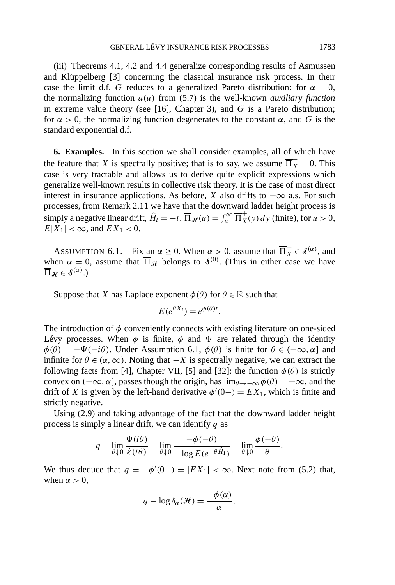(iii) Theorems 4.1, 4.2 and 4.4 generalize corresponding results of Asmussen and Klüppelberg [3] concerning the classical insurance risk process. In their case the limit d.f. *G* reduces to a generalized Pareto distribution: for  $\alpha = 0$ , the normalizing function  $a(u)$  from  $(5.7)$  is the well-known *auxiliary function* in extreme value theory (see [16], Chapter 3), and *G* is a Pareto distribution; for  $\alpha > 0$ , the normalizing function degenerates to the constant  $\alpha$ , and G is the standard exponential d.f.

**6. Examples.** In this section we shall consider examples, all of which have the feature that *X* is spectrally positive; that is to say, we assume  $\overline{\Pi_X} = 0$ . This case is very tractable and allows us to derive quite explicit expressions which generalize well-known results in collective risk theory. It is the case of most direct interest in insurance applications. As before, *X* also drifts to  $-\infty$  a.s. For such processes, from Remark 2.11 we have that the downward ladder height process is simply a negative linear drift,  $\hat{H}_t = -t$ ,  $\overline{\Pi}_{\mathcal{H}}(u) = \int_u^{\infty} \overline{\Pi}_{X}^{+}(y) dy$  (finite), for  $u > 0$ ,  $E|X_1| < \infty$ , and  $EX_1 < 0$ .

ASSUMPTION 6.1. Fix an  $\alpha \ge 0$ . When  $\alpha > 0$ , assume that  $\overline{\Pi}_X^+ \in \mathcal{S}^{(\alpha)}$ , and when  $\alpha = 0$ , assume that  $\overline{\Pi}_{\mathcal{H}}$  belongs to  $\mathcal{S}^{(0)}$ . (Thus in either case we have  $\overline{\Pi}_{\mathcal{H}} \in \mathcal{S}^{(\alpha)}$ .)

Suppose that *X* has Laplace exponent  $\phi(\theta)$  for  $\theta \in \mathbb{R}$  such that

$$
E(e^{\theta X_t}) = e^{\phi(\theta)t}.
$$

The introduction of  $\phi$  conveniently connects with existing literature on one-sided Lévy processes. When  $\phi$  is finite,  $\phi$  and  $\Psi$  are related through the identity  $\phi(\theta) = -\Psi(-i\theta)$ . Under Assumption 6.1,  $\phi(\theta)$  is finite for  $\theta \in (-\infty, \alpha]$  and infinite for  $\theta \in (\alpha, \infty)$ . Noting that  $-X$  is spectrally negative, we can extract the following facts from [4], Chapter VII, [5] and [32]: the function  $\phi(\theta)$  is strictly convex on  $(-\infty, \alpha]$ , passes though the origin, has  $\lim_{\theta \to -\infty} \phi(\theta) = +\infty$ , and the drift of *X* is given by the left-hand derivative  $\phi'(0-) = EX_1$ , which is finite and strictly negative.

Using (2.9) and taking advantage of the fact that the downward ladder height process is simply a linear drift, we can identify *q* as

$$
q = \lim_{\theta \downarrow 0} \frac{\Psi(i\theta)}{\hat{\kappa}(i\theta)} = \lim_{\theta \downarrow 0} \frac{-\phi(-\theta)}{-\log E(e^{-\theta \hat{H}_1})} = \lim_{\theta \downarrow 0} \frac{\phi(-\theta)}{\theta}.
$$

We thus deduce that  $q = -\phi'(0) = |EX_1| < \infty$ . Next note from (5.2) that, when  $\alpha > 0$ ,

$$
q - \log \delta_{\alpha}(\mathcal{H}) = \frac{-\phi(\alpha)}{\alpha},
$$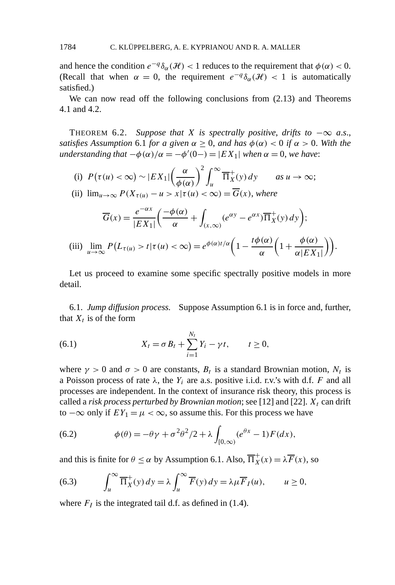and hence the condition  $e^{-q} \delta_{\alpha}(\mathcal{H}) < 1$  reduces to the requirement that  $\phi(\alpha) < 0$ . (Recall that when  $\alpha = 0$ , the requirement  $e^{-q} \delta_{\alpha}(\mathcal{H}) < 1$  is automatically satisfied.)

We can now read off the following conclusions from (2.13) and Theorems 4.1 and 4.2.

THEOREM 6.2. *Suppose that X is spectrally positive, drifts to*  $-\infty$  *a.s., satisfies Assumption* 6.1 *for a given*  $\alpha > 0$ *, and has*  $\phi(\alpha) < 0$  *if*  $\alpha > 0$ *. With the understanding that*  $-\phi(\alpha)/\alpha = -\phi'(0-) = |EX_1|$  *when*  $\alpha = 0$ *, we have*:

(i) 
$$
P(\tau(u) < \infty) \sim |EX_1| \left(\frac{\alpha}{\phi(\alpha)}\right)^2 \int_u^{\infty} \overline{\Pi}_X^+(y) dy
$$
 as  $u \to \infty$ ;  
\n(ii)  $\lim_{u \to \infty} P(X_{\tau(u)} - u > x | \tau(u) < \infty) = \overline{G}(x)$ , where

$$
\overline{G}(x) = \frac{e^{-\alpha x}}{|EX_1|} \left( \frac{-\phi(\alpha)}{\alpha} + \int_{(x,\infty)} (e^{\alpha y} - e^{\alpha x}) \overline{\Pi}_X^+(y) \, dy \right);
$$
\n(iii)

\n
$$
\lim_{u \to \infty} P\left(L_{\tau(u)} > t | \tau(u) < \infty\right) = e^{\phi(\alpha)t/\alpha} \left(1 - \frac{t\phi(\alpha)}{\alpha} \left(1 + \frac{\phi(\alpha)}{\alpha |EX_1|}\right)\right).
$$

Let us proceed to examine some specific spectrally positive models in more detail.

6.1. *Jump diffusion process.* Suppose Assumption 6.1 is in force and, further, that  $X_t$  is of the form

(6.1) 
$$
X_t = \sigma B_t + \sum_{i=1}^{N_t} Y_i - \gamma t, \qquad t \ge 0,
$$

where  $\gamma > 0$  and  $\sigma > 0$  are constants,  $B_t$  is a standard Brownian motion,  $N_t$  is a Poisson process of rate  $\lambda$ , the  $Y_i$  are a.s. positive i.i.d. r.v.'s with d.f. *F* and all processes are independent. In the context of insurance risk theory, this process is called a *risk process perturbed by Brownian motion*; see [12] and [22].  $X_t$  can drift to  $-\infty$  only if  $EY_1 = \mu < \infty$ , so assume this. For this process we have

(6.2) 
$$
\phi(\theta) = -\theta\gamma + \sigma^2\theta^2/2 + \lambda \int_{[0,\infty)} (e^{\theta x} - 1) F(dx),
$$

and this is finite for  $\theta \le \alpha$  by Assumption 6.1. Also,  $\overline{\Pi}_X^+(x) = \lambda \overline{F}(x)$ , so

(6.3) 
$$
\int_{u}^{\infty} \overline{\Pi}_{X}^{+}(y) dy = \lambda \int_{u}^{\infty} \overline{F}(y) dy = \lambda \mu \overline{F}_{I}(u), \qquad u \ge 0,
$$

where  $F_I$  is the integrated tail d.f. as defined in (1.4).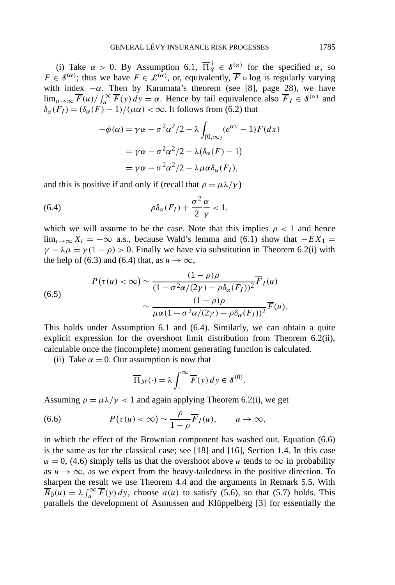(i) Take  $\alpha > 0$ . By Assumption 6.1,  $\overline{\Pi}_X^+ \in \mathcal{S}^{(\alpha)}$  for the specified  $\alpha$ , so *F*  $\in \mathcal{S}^{(\alpha)}$ ; thus we have  $F \in \mathcal{L}^{(\alpha)}$ , or, equivalently,  $\overline{F}$  ∘ log is regularly varying with index  $-\alpha$ . Then by Karamata's theorem (see [8], page 28), we have  $\lim_{u\to\infty} \overline{F}(u) / \int_u^{\infty} \overline{F}(y) dy = \alpha$ . Hence by tail equivalence also  $\overline{F}_I \in \mathcal{S}^{(\alpha)}$  and  $\delta_{\alpha}(F_I) = (\delta_{\alpha}(F) - 1)/(\mu \alpha) < \infty$ . It follows from (6.2) that

$$
-\phi(\alpha) = \gamma \alpha - \sigma^2 \alpha^2 / 2 - \lambda \int_{[0,\infty)} (e^{\alpha x} - 1) F(dx)
$$

$$
= \gamma \alpha - \sigma^2 \alpha^2 / 2 - \lambda (\delta_\alpha(F) - 1)
$$

$$
= \gamma \alpha - \sigma^2 \alpha^2 / 2 - \lambda \mu \alpha \delta_\alpha(F_I),
$$

and this is positive if and only if (recall that  $\rho = \mu \lambda / \gamma$ )

(6.4) 
$$
\rho \delta_{\alpha}(F_I) + \frac{\sigma^2}{2} \frac{\alpha}{\gamma} < 1,
$$

which we will assume to be the case. Note that this implies  $\rho < 1$  and hence lim<sub>t→∞</sub>  $X_t = -\infty$  a.s., because Wald's lemma and (6.1) show that  $-E[X]$  =  $\gamma - \lambda \mu = \gamma (1 - \rho) > 0$ . Finally we have via substitution in Theorem 6.2(i) with the help of (6.3) and (6.4) that, as  $u \to \infty$ ,

(6.5)  

$$
P(\tau(u) < \infty) \sim \frac{(1 - \rho)\rho}{(1 - \sigma^2 \alpha/(2\gamma) - \rho \delta_{\alpha}(F_I))^2} \overline{F}_I(u)
$$

$$
\sim \frac{(1 - \rho)\rho}{\mu \alpha (1 - \sigma^2 \alpha/(2\gamma) - \rho \delta_{\alpha}(F_I))^2} \overline{F}(u).
$$

This holds under Assumption 6.1 and (6.4). Similarly, we can obtain a quite explicit expression for the overshoot limit distribution from Theorem 6.2(ii), calculable once the (incomplete) moment generating function is calculated.

(ii) Take  $\alpha = 0$ . Our assumption is now that

$$
\overline{\Pi}_{\mathcal{H}}(\cdot) = \lambda \int_{\cdot}^{\infty} \overline{F}(y) \, dy \in \mathcal{S}^{(0)}.
$$

Assuming  $\rho = \mu \lambda / \gamma < 1$  and again applying Theorem 6.2(i), we get

(6.6) 
$$
P(\tau(u) < \infty) \sim \frac{\rho}{1-\rho} \overline{F}_I(u), \qquad u \to \infty,
$$

in which the effect of the Brownian component has washed out. Equation (6.6) is the same as for the classical case; see [18] and [16], Section 1.4. In this case  $\alpha = 0$ , (4.6) simply tells us that the overshoot above *u* tends to  $\infty$  in probability as  $u \rightarrow \infty$ , as we expect from the heavy-tailedness in the positive direction. To sharpen the result we use Theorem 4.4 and the arguments in Remark 5.5. With  $\overline{B}_0(u) = \lambda \int_u^{\infty} \overline{F}(y) dy$ , choose *a(u)* to satisfy (5.6), so that (5.7) holds. This parallels the development of Asmussen and Klüppelberg [3] for essentially the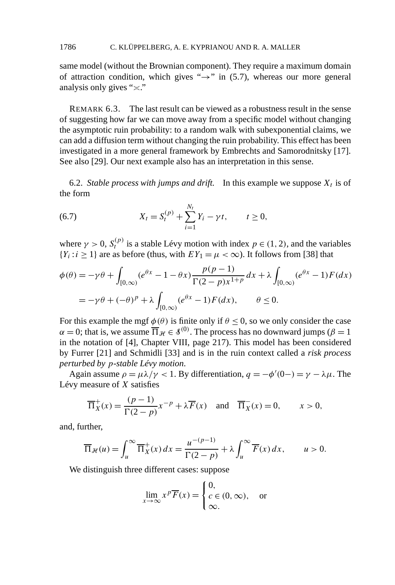same model (without the Brownian component). They require a maximum domain of attraction condition, which gives " $\rightarrow$ " in (5.7), whereas our more general analysis only gives " $\approx$ ."

REMARK 6.3. The last result can be viewed as a robustness result in the sense of suggesting how far we can move away from a specific model without changing the asymptotic ruin probability: to a random walk with subexponential claims, we can add a diffusion term without changing the ruin probability. This effect has been investigated in a more general framework by Embrechts and Samorodnitsky [17]. See also [29]. Our next example also has an interpretation in this sense.

6.2. *Stable process with jumps and drift.* In this example we suppose  $X_t$  is of the form

(6.7) 
$$
X_t = S_t^{(p)} + \sum_{i=1}^{N_t} Y_i - \gamma t, \qquad t \ge 0,
$$

where  $\gamma > 0$ ,  $S_t^{(p)}$  is a stable Lévy motion with index  $p \in (1, 2)$ , and the variables  ${Y_i : i \ge 1}$  are as before (thus, with  $EY_1 = \mu < \infty$ ). It follows from [38] that

$$
\phi(\theta) = -\gamma \theta + \int_{[0,\infty)} (e^{\theta x} - 1 - \theta x) \frac{p(p-1)}{\Gamma(2-p)x^{1+p}} dx + \lambda \int_{[0,\infty)} (e^{\theta x} - 1) F(dx)
$$
  
=  $-\gamma \theta + (-\theta)^p + \lambda \int_{[0,\infty)} (e^{\theta x} - 1) F(dx), \qquad \theta \le 0.$ 

For this example the mgf  $\phi(\theta)$  is finite only if  $\theta \le 0$ , so we only consider the case  $\alpha = 0$ ; that is, we assume  $\overline{\Pi}_{\mathcal{H}} \in \mathcal{S}^{(0)}$ . The process has no downward jumps ( $\beta = 1$ ) in the notation of [4], Chapter VIII, page 217). This model has been considered by Furrer [21] and Schmidli [33] and is in the ruin context called a *risk process perturbed by p-stable Lévy motion*.

Again assume  $\rho = \mu \lambda / \gamma < 1$ . By differentiation,  $q = -\phi'(0) = \gamma - \lambda \mu$ . The Lévy measure of *X* satisfies

$$
\overline{\Pi}_X^+(x) = \frac{(p-1)}{\Gamma(2-p)} x^{-p} + \lambda \overline{F}(x) \quad \text{and} \quad \overline{\Pi}_X^-(x) = 0, \qquad x > 0,
$$

and, further,

$$
\overline{\Pi}_{\mathcal{H}}(u) = \int_u^\infty \overline{\Pi}_X^+(x) dx = \frac{u^{-(p-1)}}{\Gamma(2-p)} + \lambda \int_u^\infty \overline{F}(x) dx, \qquad u > 0.
$$

We distinguish three different cases: suppose

$$
\lim_{x \to \infty} x^p \overline{F}(x) = \begin{cases} 0, \\ c \in (0, \infty), \\ \infty. \end{cases}
$$
 or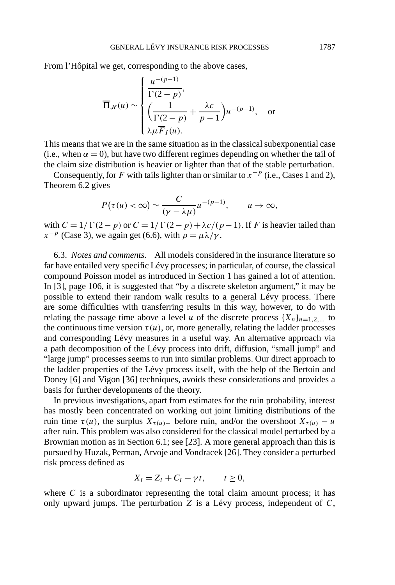From l'Hôpital we get, corresponding to the above cases,

$$
\overline{\Pi}_{\mathcal{H}}(u) \sim \begin{cases} \frac{u^{-(p-1)}}{\Gamma(2-p)}, \\ \left(\frac{1}{\Gamma(2-p)} + \frac{\lambda c}{p-1}\right)u^{-(p-1)}, \text{ or} \\ \lambda \mu \overline{F}_I(u). \end{cases}
$$

This means that we are in the same situation as in the classical subexponential case (i.e., when  $\alpha = 0$ ), but have two different regimes depending on whether the tail of the claim size distribution is heavier or lighter than that of the stable perturbation.

Consequently, for *F* with tails lighter than or similar to  $x^{-p}$  (i.e., Cases 1 and 2), Theorem 6.2 gives

$$
P(\tau(u)<\infty)\sim\frac{C}{(\gamma-\lambda\mu)}u^{-(p-1)},\qquad u\to\infty,
$$

with  $C = 1/\Gamma(2-p)$  or  $C = 1/\Gamma(2-p) + \lambda c/(p-1)$ . If *F* is heavier tailed than  $x^{-p}$  (Case 3), we again get (6.6), with  $\rho = \mu \lambda / \gamma$ .

6.3. *Notes and comments.* All models considered in the insurance literature so far have entailed very specific Lévy processes; in particular, of course, the classical compound Poisson model as introduced in Section 1 has gained a lot of attention. In [3], page 106, it is suggested that "by a discrete skeleton argument," it may be possible to extend their random walk results to a general Lévy process. There are some difficulties with transferring results in this way, however, to do with relating the passage time above a level *u* of the discrete process  $\{X_n\}_{n=1,2,...}$  to the continuous time version  $\tau(u)$ , or, more generally, relating the ladder processes and corresponding Lévy measures in a useful way. An alternative approach via a path decomposition of the Lévy process into drift, diffusion, "small jump" and "large jump" processes seems to run into similar problems. Our direct approach to the ladder properties of the Lévy process itself, with the help of the Bertoin and Doney [6] and Vigon [36] techniques, avoids these considerations and provides a basis for further developments of the theory.

In previous investigations, apart from estimates for the ruin probability, interest has mostly been concentrated on working out joint limiting distributions of the ruin time  $\tau(u)$ , the surplus  $X_{\tau(u)}$  before ruin, and/or the overshoot  $X_{\tau(u)} - u$ after ruin. This problem was also considered for the classical model perturbed by a Brownian motion as in Section 6.1; see [23]. A more general approach than this is pursued by Huzak, Perman, Arvoje and Vondracek [26]. They consider a perturbed risk process defined as

$$
X_t = Z_t + C_t - \gamma t, \qquad t \ge 0,
$$

where  $C$  is a subordinator representing the total claim amount process; it has only upward jumps. The perturbation *Z* is a Lévy process, independent of *C*,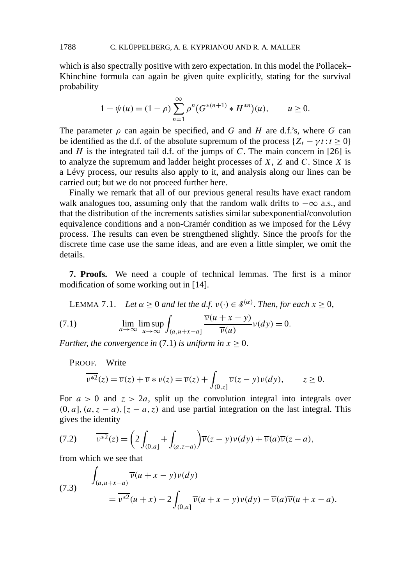which is also spectrally positive with zero expectation. In this model the Pollacek– Khinchine formula can again be given quite explicitly, stating for the survival probability

$$
1 - \psi(u) = (1 - \rho) \sum_{n=1}^{\infty} \rho^n (G^{*(n+1)} * H^{*n})(u), \qquad u \ge 0.
$$

The parameter  $\rho$  can again be specified, and *G* and *H* are d.f.'s, where *G* can be identified as the d.f. of the absolute supremum of the process  $\{Z_t - \gamma t : t \geq 0\}$ and  $H$  is the integrated tail d.f. of the jumps of  $C$ . The main concern in [26] is to analyze the supremum and ladder height processes of *X*, *Z* and *C*. Since *X* is a Lévy process, our results also apply to it, and analysis along our lines can be carried out; but we do not proceed further here.

Finally we remark that all of our previous general results have exact random walk analogues too, assuming only that the random walk drifts to  $-\infty$  a.s., and that the distribution of the increments satisfies similar subexponential/convolution equivalence conditions and a non-Cramér condition as we imposed for the Lévy process. The results can even be strengthened slightly. Since the proofs for the discrete time case use the same ideas, and are even a little simpler, we omit the details.

**7. Proofs.** We need a couple of technical lemmas. The first is a minor modification of some working out in [14].

**LEMMA 7.1.** *Let*  $\alpha \geq 0$  *and let the d.f.*  $v(\cdot) \in \mathcal{S}^{(\alpha)}$ *. Then, for each*  $x \geq 0$ ,

(7.1) 
$$
\lim_{a \to \infty} \lim_{u \to \infty} \int_{(a, u+x-a]} \frac{\overline{\nu}(u+x-y)}{\overline{\nu}(u)} \nu(dy) = 0.
$$

*Further, the convergence in* (7.1) *is uniform in*  $x \ge 0$ .

PROOF. Write

$$
\overline{\nu^{*2}}(z) = \overline{\nu}(z) + \overline{\nu} * \nu(z) = \overline{\nu}(z) + \int_{(0,z]} \overline{\nu}(z - y)\nu(dy), \qquad z \ge 0.
$$

For  $a > 0$  and  $z > 2a$ , split up the convolution integral into integrals over  $(0, a]$ ,  $(a, z - a)$ ,  $[z - a, z)$  and use partial integration on the last integral. This gives the identity

(7.2) 
$$
\overline{v^{*2}}(z) = \left(2\int_{(0,a]} + \int_{(a,z-a)}\right)\overline{v}(z-y)v(dy) + \overline{v}(a)\overline{v}(z-a),
$$

from which we see that

(7.3) 
$$
\int_{(a,u+x-a)} \overline{v}(u+x-y)v(dy)
$$

$$
= \overline{v^{*2}}(u+x) - 2 \int_{(0,a]} \overline{v}(u+x-y)v(dy) - \overline{v}(a)\overline{v}(u+x-a).
$$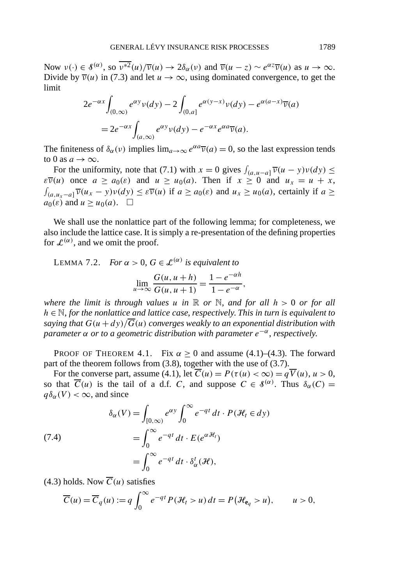Now  $v(\cdot) \in \mathcal{S}^{(\alpha)}$ , so  $\overline{v^{*2}}(u)/\overline{v}(u) \to 2\delta_{\alpha}(v)$  and  $\overline{v}(u-z) \sim e^{\alpha z} \overline{v}(u)$  as  $u \to \infty$ . Divide by  $\overline{v}(u)$  in (7.3) and let  $u \to \infty$ , using dominated convergence, to get the limit

$$
2e^{-\alpha x} \int_{(0,\infty)} e^{\alpha y} \nu(dy) - 2 \int_{(0,a]} e^{\alpha(y-x)} \nu(dy) - e^{\alpha(a-x)} \overline{\nu}(a)
$$
  
= 
$$
2e^{-\alpha x} \int_{(a,\infty)} e^{\alpha y} \nu(dy) - e^{-\alpha x} e^{\alpha a} \overline{\nu}(a).
$$

The finiteness of  $\delta_{\alpha}(v)$  implies  $\lim_{a\to\infty}e^{\alpha a}\overline{v}(a)=0$ , so the last expression tends to 0 as  $a \rightarrow \infty$ .

For the uniformity, note that (7.1) with  $x = 0$  gives  $\int_{(a, u-a]} \overline{v}(u - y)v(dy) \le$ *ε* $\overline{v}(u)$  once  $a \ge a_0(\varepsilon)$  and  $u \ge u_0(a)$ . Then if  $x \ge 0$  and  $u_x = u + x$ ,  $\int_{(a,u_x-a]} \overline{v}(u_x-y)v(dy) \leq \varepsilon \overline{v}(u)$  if  $a \geq a_0(\varepsilon)$  and  $u_x \geq u_0(a)$ , certainly if  $a \geq$  $a_0(\varepsilon)$  and  $u \ge u_0(a)$ .  $\Box$ 

We shall use the nonlattice part of the following lemma; for completeness, we also include the lattice case. It is simply a re-presentation of the defining properties for  $\mathcal{L}^{(\alpha)}$ , and we omit the proof.

LEMMA 7.2. *For*  $\alpha > 0$ ,  $G \in \mathcal{L}^{(\alpha)}$  *is equivalent to* 

$$
\lim_{u \to \infty} \frac{G(u, u + h)}{G(u, u + 1)} = \frac{1 - e^{-\alpha h}}{1 - e^{-\alpha}},
$$

*where the limit is through values*  $u$  *in*  $\mathbb{R}$  *or*  $\mathbb{N}$ *, and for all h > 0 or for all h* ∈ N, *for the nonlattice and lattice case*, *respectively*. *This in turn is equivalent to saying that*  $G(u + dv)/\overline{G}(u)$  *converges weakly to an exponential distribution with parameter α or to a geometric distribution with parameter e*−*α*, *respectively*.

PROOF OF THEOREM 4.1. Fix  $\alpha \ge 0$  and assume (4.1)–(4.3). The forward part of the theorem follows from (3.8), together with the use of (3.7).

For the converse part, assume (4.1), let  $\overline{C}(u) = P(\tau(u) < \infty) = q\overline{V}(u), u > 0$ , so that  $\overline{C}(u)$  is the tail of a d.f. *C*, and suppose  $C \in \mathcal{S}^{(\alpha)}$ . Thus  $\delta_{\alpha}(C) =$  $q\delta_{\alpha}(V) < \infty$ , and since

(7.4)  
\n
$$
\delta_{\alpha}(V) = \int_{[0,\infty)} e^{\alpha y} \int_0^{\infty} e^{-qt} dt \cdot P(\mathcal{H}_t \in dy)
$$
\n
$$
= \int_0^{\infty} e^{-qt} dt \cdot E(e^{\alpha \mathcal{H}_t})
$$
\n
$$
= \int_0^{\infty} e^{-qt} dt \cdot \delta_{\alpha}^t(\mathcal{H}),
$$

(4.3) holds. Now  $\overline{C}(u)$  satisfies

$$
\overline{C}(u) = \overline{C}_q(u) := q \int_0^\infty e^{-qt} P(\mathcal{H}_t > u) dt = P(\mathcal{H}_{\mathbf{e}_q} > u), \qquad u > 0,
$$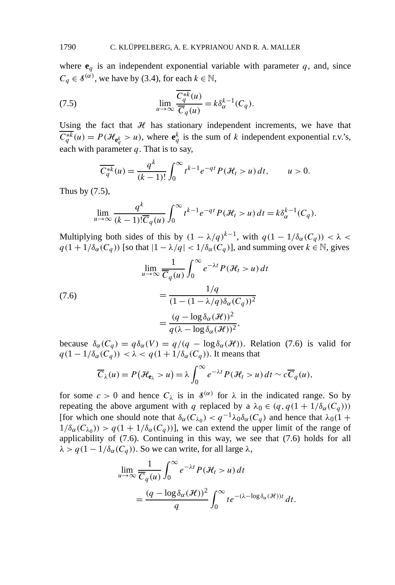where  $e_q$  is an independent exponential variable with parameter  $q$ , and, since  $C_q \in \mathcal{S}^{(\alpha)}$ , we have by (3.4), for each  $k \in \mathbb{N}$ ,

(7.5) 
$$
\lim_{u \to \infty} \frac{\overline{C_q^{*k}}(u)}{\overline{C}_q(u)} = k \delta_\alpha^{k-1}(C_q).
$$

Using the fact that  $H$  has stationary independent increments, we have that  $\overline{C_q^{*k}}(u) = P(\mathcal{H}_{e_q^k} > u)$ , where  $e_q^k$  is the sum of *k* independent exponential r.v.'s, each with parameter *q*. That is to say,

$$
\overline{C_q^{*k}}(u) = \frac{q^k}{(k-1)!} \int_0^\infty t^{k-1} e^{-qt} P(\mathcal{H}_t > u) dt, \qquad u > 0.
$$

Thus by (7.5),

$$
\lim_{u \to \infty} \frac{q^k}{(k-1)!\overline{C}_q(u)} \int_0^\infty t^{k-1} e^{-qt} P(\mathcal{H}_t > u) dt = k \delta_\alpha^{k-1}(C_q).
$$

Multiplying both sides of this by  $(1 - \lambda/q)^{k-1}$ , with  $q(1 - 1/\delta_\alpha(C_q)) < \lambda <$  $q(1 + 1/\delta_{\alpha}(C_q))$  [so that  $|1 - \lambda/q| < 1/\delta_{\alpha}(C_q)$ ], and summing over  $k \in \mathbb{N}$ , gives

(7.6)  
\n
$$
\lim_{u \to \infty} \frac{1}{\overline{C}_q(u)} \int_0^{\infty} e^{-\lambda t} P(\mathcal{H}_t > u) dt
$$
\n
$$
= \frac{1/q}{(1 - (1 - \lambda/q)\delta_\alpha(C_q))^2}
$$
\n
$$
= \frac{(q - \log \delta_\alpha(\mathcal{H}))^2}{q(\lambda - \log \delta_\alpha(\mathcal{H}))^2},
$$

because  $\delta_{\alpha}(C_q) = q \delta_{\alpha}(V) = q/(q - \log \delta_{\alpha}(\mathcal{H}))$ . Relation (7.6) is valid for  $q(1 - 1/\delta_{\alpha}(C_q)) < \lambda < q(1 + 1/\delta_{\alpha}(C_q))$ . It means that

$$
\overline{C}_{\lambda}(u) = P(\mathcal{H}_{\mathbf{e}_{\lambda}} > u) = \lambda \int_0^{\infty} e^{-\lambda t} P(\mathcal{H}_t > u) dt \sim c \overline{C}_q(u),
$$

for some  $c > 0$  and hence  $C_{\lambda}$  is in  $\delta^{(\alpha)}$  for  $\lambda$  in the indicated range. So by repeating the above argument with *q* replaced by a  $\lambda_0 \in (q, q(1 + 1/\delta_\alpha(C_q)))$ [for which one should note that  $\delta_{\alpha}(C_{\lambda_0}) < q^{-1}\lambda_0\delta_{\alpha}(C_q)$  and hence that  $\lambda_0(1 +$  $1/\delta_{\alpha}(C_{\lambda_0}) > q(1 + 1/\delta_{\alpha}(C_q))$ , we can extend the upper limit of the range of applicability of (7.6). Continuing in this way, we see that (7.6) holds for all  $\lambda > q(1 - 1/\delta_{\alpha}(C_q))$ . So we can write, for all large  $\lambda$ ,

$$
\lim_{u \to \infty} \frac{1}{\overline{C}_q(u)} \int_0^\infty e^{-\lambda t} P(\mathcal{H}_t > u) dt
$$
  
= 
$$
\frac{(q - \log \delta_\alpha(\mathcal{H}))^2}{q} \int_0^\infty t e^{-(\lambda - \log \delta_\alpha(\mathcal{H}))t} dt.
$$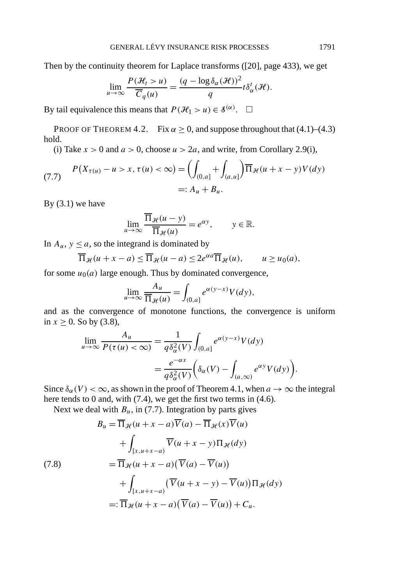Then by the continuity theorem for Laplace transforms ([20], page 433), we get

$$
\lim_{u \to \infty} \frac{P(\mathcal{H}_t > u)}{\overline{C}_q(u)} = \frac{(q - \log \delta_\alpha(\mathcal{H}))^2}{q} t \delta_\alpha^t(\mathcal{H}).
$$

By tail equivalence this means that  $P(\mathcal{H}_1 > u) \in \mathcal{S}^{(\alpha)}$ .  $\Box$ 

PROOF OF THEOREM 4.2. Fix  $\alpha \ge 0$ , and suppose throughout that (4.1)–(4.3) hold.

(i) Take  $x > 0$  and  $a > 0$ , choose  $u > 2a$ , and write, from Corollary 2.9(i),

(7.7) 
$$
P(X_{\tau(u)} - u > x, \tau(u) < \infty) = \left( \int_{(0,a]} + \int_{(a,u]} \right) \overline{\Pi}_{\mathcal{H}}(u + x - y) V(dy) \\ =: A_u + B_u.
$$

By  $(3.1)$  we have

$$
\lim_{u \to \infty} \frac{\overline{\Pi}_{\mathcal{H}}(u - y)}{\overline{\Pi}_{\mathcal{H}}(u)} = e^{\alpha y}, \qquad y \in \mathbb{R}.
$$

In  $A_u$ ,  $y \le a$ , so the integrand is dominated by

$$
\overline{\Pi}_{\mathcal{H}}(u+x-a) \leq \overline{\Pi}_{\mathcal{H}}(u-a) \leq 2e^{\alpha a} \overline{\Pi}_{\mathcal{H}}(u), \qquad u \geq u_0(a),
$$

for some  $u_0(a)$  large enough. Thus by dominated convergence,

$$
\lim_{u \to \infty} \frac{A_u}{\overline{\Pi}_{\mathcal{H}}(u)} = \int_{(0,a]} e^{\alpha(y-x)} V(dy),
$$

and as the convergence of monotone functions, the convergence is uniform in  $x \ge 0$ . So by (3.8),

$$
\lim_{u \to \infty} \frac{A_u}{P(\tau(u) < \infty)} = \frac{1}{q \delta_{\alpha}^2(V)} \int_{(0,a]} e^{\alpha(y-x)} V(dy)
$$

$$
= \frac{e^{-\alpha x}}{q \delta_{\alpha}^2(V)} \left( \delta_{\alpha}(V) - \int_{(a,\infty)} e^{\alpha y} V(dy) \right).
$$

Since  $\delta_{\alpha}(V) < \infty$ , as shown in the proof of Theorem 4.1, when  $a \to \infty$  the integral here tends to 0 and, with (7.4), we get the first two terms in (4.6).

Next we deal with  $B_u$ , in (7.7). Integration by parts gives

$$
B_u = \overline{\Pi}_{\mathcal{H}}(u + x - a)\overline{V}(a) - \overline{\Pi}_{\mathcal{H}}(x)\overline{V}(u)
$$
  
+ 
$$
\int_{[x,u+x-a)} \overline{V}(u + x - y)\Pi_{\mathcal{H}}(dy)
$$
  

$$
= \overline{\Pi}_{\mathcal{H}}(u + x - a)(\overline{V}(a) - \overline{V}(u))
$$
  
+ 
$$
\int_{[x,u+x-a)} (\overline{V}(u + x - y) - \overline{V}(u))\Pi_{\mathcal{H}}(dy)
$$
  
=: 
$$
\overline{\Pi}_{\mathcal{H}}(u + x - a)(\overline{V}(a) - \overline{V}(u)) + C_u.
$$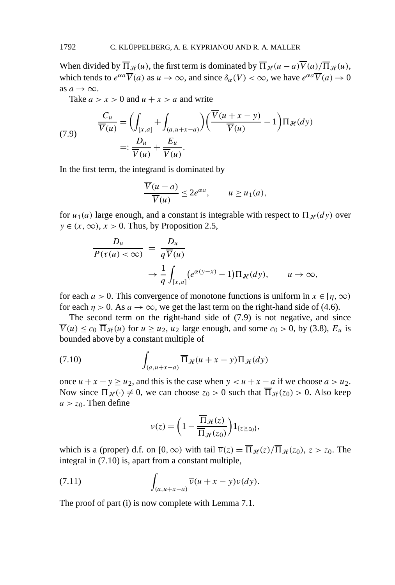When divided by  $\overline{\Pi}_{\mathcal{H}}(u)$ , the first term is dominated by  $\overline{\Pi}_{\mathcal{H}}(u-a)\overline{V}(a)/\overline{\Pi}_{\mathcal{H}}(u)$ , which tends to  $e^{\alpha a}\overline{V}(a)$  as  $u \to \infty$ , and since  $\delta_{\alpha}(V) < \infty$ , we have  $e^{\alpha a}\overline{V}(a) \to 0$ as  $a \rightarrow \infty$ .

Take  $a > x > 0$  and  $u + x > a$  and write

(7.9) 
$$
\frac{C_u}{\overline{V}(u)} = \left(\int_{[x,a]} + \int_{(a,u+x-a)}\right) \left(\frac{\overline{V}(u+x-y)}{\overline{V}(u)} - 1\right) \Pi_{\mathcal{H}}(dy)
$$

$$
=: \frac{D_u}{\overline{V}(u)} + \frac{E_u}{\overline{V}(u)}.
$$

In the first term, the integrand is dominated by

$$
\frac{\overline{V}(u-a)}{\overline{V}(u)} \leq 2e^{\alpha a}, \qquad u \geq u_1(a),
$$

for  $u_1(a)$  large enough, and a constant is integrable with respect to  $\Pi_{\mathcal{H}}(dy)$  over  $y \in (x, \infty), x > 0$ . Thus, by Proposition 2.5,

$$
\frac{D_u}{P(\tau(u) < \infty)} = \frac{D_u}{q \overline{V}(u)} \rightarrow \frac{1}{q} \int_{[x,a]} \left( e^{\alpha(y-x)} - 1 \right) \Pi_{\mathcal{H}}(dy), \qquad u \to \infty,
$$

for each  $a > 0$ . This convergence of monotone functions is uniform in  $x \in [\eta, \infty)$ for each  $\eta > 0$ . As  $a \to \infty$ , we get the last term on the right-hand side of (4.6).

The second term on the right-hand side of (7.9) is not negative, and since  $\overline{V}(u) \leq c_0 \overline{\Pi}_{\mathcal{H}}(u)$  for  $u \geq u_2$ ,  $u_2$  large enough, and some  $c_0 > 0$ , by (3.8),  $E_u$  is bounded above by a constant multiple of

(7.10) 
$$
\int_{(a,u+x-a)} \overline{\Pi}_{\mathcal{H}}(u+x-y) \Pi_{\mathcal{H}}(dy)
$$

once  $u + x - y \ge u_2$ , and this is the case when  $y < u + x - a$  if we choose  $a > u_2$ . Now since  $\Pi_{\mathcal{H}}(\cdot) \neq 0$ , we can choose  $z_0 > 0$  such that  $\overline{\Pi}_{\mathcal{H}}(z_0) > 0$ . Also keep  $a > z_0$ . Then define

$$
\nu(z) = \left(1 - \frac{\overline{\Pi}_{\mathcal{H}}(z)}{\overline{\Pi}_{\mathcal{H}}(z_0)}\right) \mathbf{1}_{\{z \geq z_0\}},
$$

which is a (proper) d.f. on  $[0, \infty)$  with tail  $\overline{v}(z) = \overline{\Pi}_{\mathcal{H}}(z)/\overline{\Pi}_{\mathcal{H}}(z_0)$ ,  $z > z_0$ . The integral in  $(7.10)$  is, apart from a constant multiple,

(7.11) 
$$
\int_{(a,u+x-a)} \overline{\nu}(u+x-y)\nu(dy).
$$

The proof of part (i) is now complete with Lemma 7.1.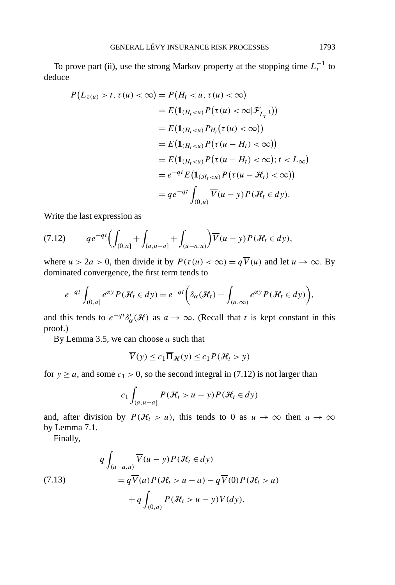To prove part (ii), use the strong Markov property at the stopping time  $L_t^{-1}$  to deduce

$$
P(L_{\tau(u)} > t, \tau(u) < \infty) = P(H_t < u, \tau(u) < \infty)
$$
  
=  $E(\mathbf{1}_{(H_t < u)} P(\tau(u) < \infty | \mathcal{F}_{L_t^{-1}}))$   
=  $E(\mathbf{1}_{(H_t < u)} P_{H_t}(\tau(u) < \infty))$   
=  $E(\mathbf{1}_{(H_t < u)} P(\tau(u - H_t) < \infty))$   
=  $E(\mathbf{1}_{(H_t < u)} P(\tau(u - H_t) < \infty); t < L_{\infty})$   
=  $e^{-qt} E(\mathbf{1}_{(\mathcal{H}_t < u)} P(\tau(u - \mathcal{H}_t) < \infty))$   
=  $qe^{-qt} \int_{(0, u)} \overline{V}(u - y) P(\mathcal{H}_t \in dy).$ 

Write the last expression as

$$
(7.12) \t qe^{-qt} \left( \int_{(0,a]} + \int_{(a,u-a]} + \int_{(u-a,u)} \right) \overline{V}(u-y) P(\mathcal{H}_t \in dy),
$$

where  $u > 2a > 0$ , then divide it by  $P(\tau(u) < \infty) = q\overline{V}(u)$  and let  $u \to \infty$ . By dominated convergence, the first term tends to

$$
e^{-qt} \int_{(0,a]} e^{\alpha y} P(\mathcal{H}_t \in dy) = e^{-qt} \left( \delta_\alpha(\mathcal{H}_t) - \int_{(a,\infty)} e^{\alpha y} P(\mathcal{H}_t \in dy) \right),
$$

and this tends to  $e^{-qt} \delta_{\alpha}^{t}(\mathcal{H})$  as  $a \to \infty$ . (Recall that *t* is kept constant in this proof.)

By Lemma 3.5, we can choose *a* such that

$$
\overline{V}(y) \le c_1 \overline{\Pi}_{\mathcal{H}}(y) \le c_1 P(\mathcal{H}_t > y)
$$

for  $y \ge a$ , and some  $c_1 > 0$ , so the second integral in (7.12) is not larger than

$$
c_1 \int_{(a,u-a]} P(\mathcal{H}_t > u - y) P(\mathcal{H}_t \in dy)
$$

and, after division by  $P(\mathcal{H}_t > u)$ , this tends to 0 as  $u \to \infty$  then  $a \to \infty$ by Lemma 7.1.

Finally,

(7.13)  
\n
$$
q \int_{(u-a,u)} \overline{V}(u-y) P(\mathcal{H}_t \in dy)
$$
\n
$$
= q \overline{V}(a) P(\mathcal{H}_t > u - a) - q \overline{V}(0) P(\mathcal{H}_t > u)
$$
\n
$$
+ q \int_{(0,a)} P(\mathcal{H}_t > u - y) V(dy),
$$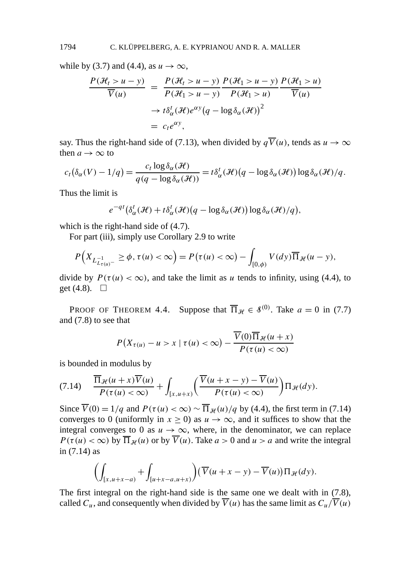while by (3.7) and (4.4), as  $u \to \infty$ ,

$$
\frac{P(\mathcal{H}_t > u - y)}{\overline{V}(u)} = \frac{P(\mathcal{H}_t > u - y)}{P(\mathcal{H}_1 > u - y)} \frac{P(\mathcal{H}_1 > u - y)}{P(\mathcal{H}_1 > u)} \frac{P(\mathcal{H}_1 > u)}{\overline{V}(u)}
$$

$$
\to t\delta_{\alpha}^t(\mathcal{H})e^{\alpha y}(q - \log \delta_{\alpha}(\mathcal{H}))^2
$$

$$
= c_t e^{\alpha y},
$$

say. Thus the right-hand side of (7.13), when divided by  $q\overline{V}(u)$ , tends as  $u \to \infty$ then  $a \rightarrow \infty$  to

$$
c_t(\delta_{\alpha}(V)-1/q)=\frac{c_t \log \delta_{\alpha}(\mathcal{H})}{q(q-\log \delta_{\alpha}(\mathcal{H}))}=t\delta_{\alpha}^t(\mathcal{H})(q-\log \delta_{\alpha}(\mathcal{H}))\log \delta_{\alpha}(\mathcal{H})/q.
$$

Thus the limit is

$$
e^{-qt}(\delta^t_\alpha(\mathcal{H})+t\delta^t_\alpha(\mathcal{H})(q-\log \delta_\alpha(\mathcal{H}))\log \delta_\alpha(\mathcal{H})/q),
$$

which is the right-hand side of (4.7).

For part (iii), simply use Corollary 2.9 to write

$$
P\Big(X_{L_{t(u)}^{-1}} \geq \phi, \tau(u) < \infty\Big) = P\big(\tau(u) < \infty\big) - \int_{[0,\phi)} V(dy) \overline{\Pi}_{\mathcal{H}}(u-y),
$$

divide by  $P(\tau(u) < \infty)$ , and take the limit as *u* tends to infinity, using (4.4), to get  $(4.8)$ .  $\Box$ 

PROOF OF THEOREM 4.4. Suppose that  $\overline{\Pi}_{\mathcal{H}} \in \mathcal{S}^{(0)}$ . Take  $a = 0$  in (7.7) and (7.8) to see that

$$
P(X_{\tau(u)} - u > x \mid \tau(u) < \infty) - \frac{\overline{V}(0)\overline{\Pi}_{\mathcal{H}}(u+x)}{P(\tau(u) < \infty)}
$$

is bounded in modulus by

$$
(7.14) \quad \frac{\overline{\Pi}_{\mathcal{H}}(u+x)\overline{V}(u)}{P(\tau(u)<\infty)} + \int_{[x,u+x)} \left(\frac{\overline{V}(u+x-y)-\overline{V}(u)}{P(\tau(u)<\infty)}\right) \Pi_{\mathcal{H}}(dy).
$$

Since  $\overline{V}(0) = 1/q$  and  $P(\tau(u) < \infty) \sim \overline{\Pi}_{\mathcal{H}}(u)/q$  by (4.4), the first term in (7.14) converges to 0 (uniformly in  $x \ge 0$ ) as  $u \to \infty$ , and it suffices to show that the integral converges to 0 as  $u \to \infty$ , where, in the denominator, we can replace  $P(\tau(u) < \infty)$  by  $\overline{\Pi}_{\mathcal{H}}(u)$  or by  $\overline{V}(u)$ . Take  $a > 0$  and  $u > a$  and write the integral in (7.14) as

$$
\left(\int_{[x,u+x-a]}+\int_{[u+x-a,u+x)}\right)\left(\overline{V}(u+x-y)-\overline{V}(u)\right)\Pi_{\mathcal{H}}(dy).
$$

The first integral on the right-hand side is the same one we dealt with in (7.8), called  $C_u$ , and consequently when divided by  $\overline{V}(u)$  has the same limit as  $C_u/\overline{V}(u)$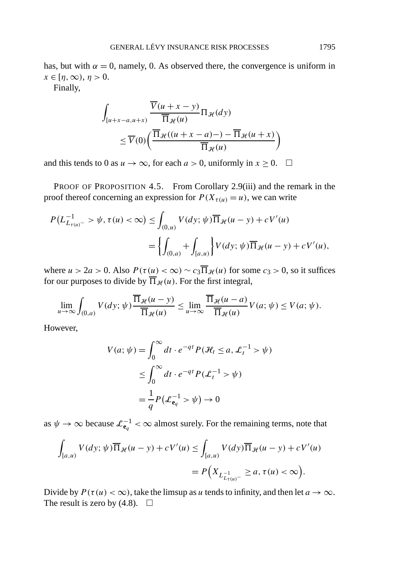has, but with  $\alpha = 0$ , namely, 0. As observed there, the convergence is uniform in  $x \in [\eta, \infty), \eta > 0.$ 

Finally,

$$
\int_{[u+x-a,u+x)} \frac{\overline{V}(u+x-y)}{\overline{\Pi}_{\mathcal{H}}(u)} \Pi_{\mathcal{H}}(dy) \n\leq \overline{V}(0) \bigg( \frac{\overline{\Pi}_{\mathcal{H}}((u+x-a)-)-\overline{\Pi}_{\mathcal{H}}(u+x)}{\overline{\Pi}_{\mathcal{H}}(u)} \bigg)
$$

and this tends to 0 as  $u \to \infty$ , for each  $a > 0$ , uniformly in  $x \ge 0$ .  $\Box$ 

PROOF OF PROPOSITION 4.5. From Corollary 2.9(iii) and the remark in the proof thereof concerning an expression for  $P(X_{\tau(u)} = u)$ , we can write

$$
P(L_{L_{\tau(u)}^{-}}^{-1} > \psi, \tau(u) < \infty) \leq \int_{(0,u)} V(dy; \psi) \overline{\Pi}_{\mathcal{H}}(u - y) + cV'(u)
$$
  
= 
$$
\left\{ \int_{(0,a)} + \int_{[a,u]} \right\} V(dy; \psi) \overline{\Pi}_{\mathcal{H}}(u - y) + cV'(u),
$$

where  $u > 2a > 0$ . Also  $P(\tau(u) < \infty) \sim c_3 \overline{\Pi}_{\mathcal{H}}(u)$  for some  $c_3 > 0$ , so it suffices for our purposes to divide by  $\overline{\Pi}_{\mathcal{H}}(u)$ . For the first integral,

$$
\lim_{u \to \infty} \int_{(0,a)} V(dy; \psi) \frac{\overline{\Pi}_{\mathcal{H}}(u - y)}{\overline{\Pi}_{\mathcal{H}}(u)} \le \lim_{u \to \infty} \frac{\overline{\Pi}_{\mathcal{H}}(u - a)}{\overline{\Pi}_{\mathcal{H}}(u)} V(a; \psi) \le V(a; \psi).
$$

However,

$$
V(a; \psi) = \int_0^\infty dt \cdot e^{-qt} P(\mathcal{H}_t \le a, \mathcal{L}_t^{-1} > \psi)
$$
  

$$
\le \int_0^\infty dt \cdot e^{-qt} P(\mathcal{L}_t^{-1} > \psi)
$$
  

$$
= \frac{1}{q} P(\mathcal{L}_{\mathbf{e}_q}^{-1} > \psi) \to 0
$$

as  $\psi \to \infty$  because  $\mathcal{L}_{\mathbf{e}_q}^{-1} < \infty$  almost surely. For the remaining terms, note that

$$
\int_{[a,u)} V(dy; \psi) \overline{\Pi}_{\mathcal{H}}(u-y) + cV'(u) \le \int_{[a,u)} V(dy) \overline{\Pi}_{\mathcal{H}}(u-y) + cV'(u)
$$
  
=  $P\Big(X_{L_{L\tau(u)}^{-1}} \ge a, \tau(u) < \infty\Big).$ 

Divide by  $P(\tau(u) < \infty)$ , take the limsup as *u* tends to infinity, and then let  $a \to \infty$ . The result is zero by (4.8).  $\Box$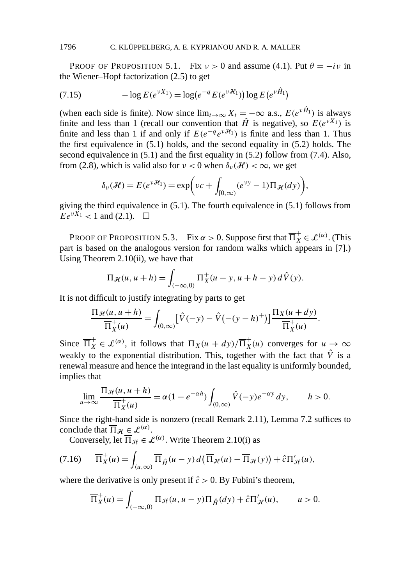PROOF OF PROPOSITION 5.1. Fix  $v > 0$  and assume (4.1). Put  $\theta = -i v$  in the Wiener–Hopf factorization (2.5) to get

(7.15) 
$$
-\log E(e^{\nu X_1}) = \log(e^{-q} E(e^{\nu \mathcal{H}_1})) \log E(e^{\nu \hat{H}_1})
$$

(when each side is finite). Now since  $\lim_{t\to\infty} X_t = -\infty$  a.s.,  $E(e^{\nu \hat{H}_1})$  is always finite and less than 1 (recall our convention that  $\hat{H}$  is negative), so  $E(e^{vX_1})$  is finite and less than 1 if and only if  $E(e^{-q}e^{v\mathcal{H}_1})$  is finite and less than 1. Thus the first equivalence in (5.1) holds, and the second equality in (5.2) holds. The second equivalence in (5.1) and the first equality in (5.2) follow from (7.4). Also, from (2.8), which is valid also for  $\nu < 0$  when  $\delta_{\nu}(\mathcal{H}) < \infty$ , we get

$$
\delta_{\nu}(\mathcal{H}) = E(e^{\nu \mathcal{H}_1}) = \exp\biggl(\nu c + \int_{[0,\infty)} (e^{\nu y} - 1) \Pi_{\mathcal{H}}(dy)\biggr),
$$

giving the third equivalence in (5.1). The fourth equivalence in (5.1) follows from  $Ee^{\nu X_1}$  < 1 and (2.1).  $\Box$ 

PROOF OF PROPOSITION 5.3. Fix  $\alpha > 0$ . Suppose first that  $\overline{\Pi}_X^+ \in \mathcal{L}^{(\alpha)}$ . (This part is based on the analogous version for random walks which appears in [7].) Using Theorem 2.10(ii), we have that

$$
\Pi_{\mathcal{H}}(u, u + h) = \int_{(-\infty, 0)} \Pi_X^+(u - y, u + h - y) d\hat{V}(y).
$$

It is not difficult to justify integrating by parts to get

$$
\frac{\Pi_{\mathcal{H}}(u, u+h)}{\overline{\Pi}_{X}^{+}(u)} = \int_{(0,\infty)} \left[ \hat{V}(-y) - \hat{V}(-(y-h)^+) \right] \frac{\Pi_{X}(u+dy)}{\overline{\Pi}_{X}^{+}(u)}.
$$

Since  $\overline{\Pi}_X^+ \in \mathcal{L}^{(\alpha)}$ , it follows that  $\Pi_X(u + dy)/\overline{\Pi}_X^+(u)$  converges for  $u \to \infty$ weakly to the exponential distribution. This, together with the fact that  $\hat{V}$  is a renewal measure and hence the integrand in the last equality is uniformly bounded, implies that

$$
\lim_{u \to \infty} \frac{\Pi_{\mathcal{H}}(u, u + h)}{\overline{\Pi}_{X}^{+}(u)} = \alpha (1 - e^{-\alpha h}) \int_{(0, \infty)} \hat{V}(-y) e^{-\alpha y} dy, \qquad h > 0.
$$

Since the right-hand side is nonzero (recall Remark 2.11), Lemma 7.2 suffices to conclude that  $\overline{\Pi}_{\mathcal{H}} \in \mathcal{L}^{(\alpha)}$ .

Conversely, let  $\overline{\Pi}_{\mathcal{H}} \in \mathcal{L}^{(\alpha)}$ . Write Theorem 2.10(i) as

$$
(7.16)\qquad \overline{\Pi}_X^+(u) = \int_{(u,\infty)} \overline{\Pi}_{\hat{H}}(u-y) \, d\big(\, \overline{\Pi}_{\mathcal{H}}(u) - \overline{\Pi}_{\mathcal{H}}(y)\big) + \hat{c} \Pi'_{\mathcal{H}}(u),
$$

where the derivative is only present if  $\hat{c} > 0$ . By Fubini's theorem,

$$
\overline{\Pi}_X^+(u) = \int_{(-\infty,0)} \Pi_{\mathcal{H}}(u, u - y) \Pi_{\hat{H}}(dy) + \hat{c} \Pi'_{\mathcal{H}}(u), \qquad u > 0.
$$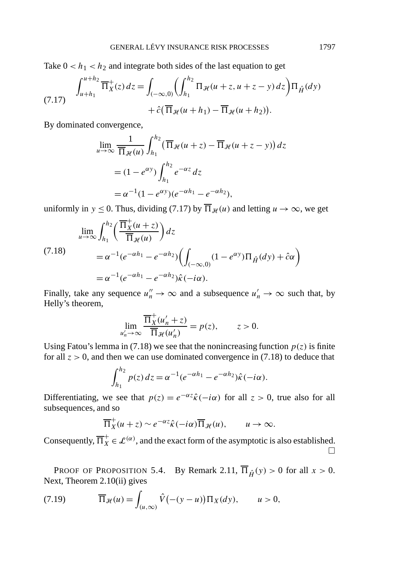Take  $0 < h_1 < h_2$  and integrate both sides of the last equation to get

(7.17) 
$$
\int_{u+h_1}^{u+h_2} \overline{\Pi}_X^+(z) dz = \int_{(-\infty,0)} \left( \int_{h_1}^{h_2} \Pi_{\mathcal{H}}(u+z, u+z-y) dz \right) \Pi_{\hat{H}}(dy) + \hat{c}(\overline{\Pi}_{\mathcal{H}}(u+h_1) - \overline{\Pi}_{\mathcal{H}}(u+h_2)).
$$

By dominated convergence,

$$
\lim_{u \to \infty} \frac{1}{\overline{\Pi}_{\mathcal{H}}(u)} \int_{h_1}^{h_2} (\overline{\Pi}_{\mathcal{H}}(u+z) - \overline{\Pi}_{\mathcal{H}}(u+z-y)) dz
$$
  
=  $(1 - e^{\alpha y}) \int_{h_1}^{h_2} e^{-\alpha z} dz$   
=  $\alpha^{-1} (1 - e^{\alpha y}) (e^{-\alpha h_1} - e^{-\alpha h_2}),$ 

uniformly in *y*  $\leq$  0. Thus, dividing (7.17) by  $\overline{\Pi}_{\mathcal{H}}(u)$  and letting *u*  $\rightarrow \infty$ , we get

$$
\lim_{u \to \infty} \int_{h_1}^{h_2} \left( \frac{\overline{\Pi}_X^+(u+z)}{\overline{\Pi}_{\mathcal{H}}(u)} \right) dz
$$
\n
$$
= \alpha^{-1} (e^{-\alpha h_1} - e^{-\alpha h_2}) \Biggl( \int_{(-\infty,0)} (1 - e^{\alpha y}) \Pi_{\hat{H}}(dy) + \hat{c}\alpha \Biggr)
$$
\n
$$
= \alpha^{-1} (e^{-\alpha h_1} - e^{-\alpha h_2}) \hat{\kappa}(-i\alpha).
$$

Finally, take any sequence  $u''_n \to \infty$  and a subsequence  $u'_n \to \infty$  such that, by Helly's theorem,

$$
\lim_{u'_n \to \infty} \frac{\overline{\Pi}_X^+(u'_n + z)}{\overline{\Pi}_{\mathcal{H}}(u'_n)} = p(z), \qquad z > 0.
$$

Using Fatou's lemma in (7.18) we see that the nonincreasing function  $p(z)$  is finite for all  $z > 0$ , and then we can use dominated convergence in (7.18) to deduce that

$$
\int_{h_1}^{h_2} p(z) dz = \alpha^{-1} (e^{-\alpha h_1} - e^{-\alpha h_2}) \hat{\kappa} (-i\alpha).
$$

Differentiating, we see that  $p(z) = e^{-\alpha z} \hat{k}(-i\alpha)$  for all  $z > 0$ , true also for all subsequences, and so

$$
\overline{\Pi}_X^+(u+z) \sim e^{-\alpha z} \hat{\kappa}(-i\alpha) \overline{\Pi}_{\mathcal{H}}(u), \qquad u \to \infty.
$$

Consequently,  $\overline{\Pi}_X^+ \in \mathcal{L}^{(\alpha)}$ , and the exact form of the asymptotic is also established.  $\Box$ 

PROOF OF PROPOSITION 5.4. By Remark 2.11,  $\overline{\Pi}_{\hat{H}}(y) > 0$  for all  $x > 0$ . Next, Theorem 2.10(ii) gives

(7.19) 
$$
\overline{\Pi}_{\mathcal{H}}(u) = \int_{(u,\infty)} \hat{V}(-(y-u)) \Pi_X(dy), \qquad u > 0,
$$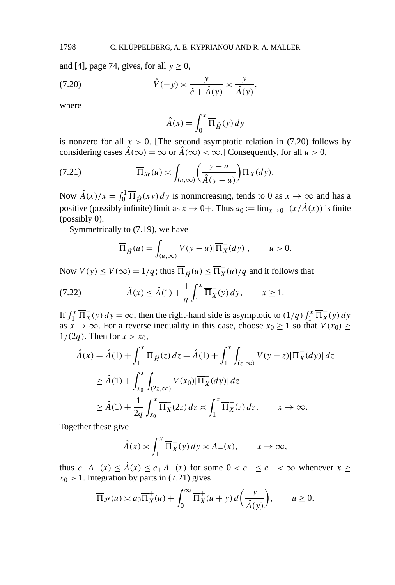and [4], page 74, gives, for all  $y \ge 0$ ,

(7.20) 
$$
\hat{V}(-y) \approx \frac{y}{\hat{c} + \hat{A}(y)} \approx \frac{y}{\hat{A}(y)},
$$

where

$$
\hat{A}(x) = \int_0^x \overline{\Pi}_{\hat{H}}(y) \, dy
$$

is nonzero for all  $x > 0$ . [The second asymptotic relation in (7.20) follows by considering cases  $\hat{A}(\infty) = \infty$  or  $\hat{A}(\infty) < \infty$ .] Consequently, for all  $u > 0$ ,

(7.21) 
$$
\overline{\Pi}_{\mathcal{H}}(u) \asymp \int_{(u,\infty)} \left(\frac{y-u}{\hat{A}(y-u)}\right) \Pi_X(dy).
$$

Now  $\hat{A}(x)/x = \int_0^1 \overline{\Pi}_{\hat{H}}(xy) dy$  is nonincreasing, tends to 0 as  $x \to \infty$  and has a positive (possibly infinite) limit as  $x \to 0+$ . Thus  $a_0 := \lim_{x \to 0+} (x/\hat{A}(x))$  is finite (possibly 0).

Symmetrically to (7.19), we have

$$
\overline{\Pi}_{\hat{H}}(u) = \int_{(u,\infty)} V(y-u) |\overline{\Pi}_X^-(dy)|, \qquad u > 0.
$$

Now  $V(y) \le V(\infty) = 1/q$ ; thus  $\overline{\Pi}_{\hat{H}}(u) \le \overline{\Pi}_{X}(u)/q$  and it follows that

(7.22) 
$$
\hat{A}(x) \le \hat{A}(1) + \frac{1}{q} \int_{1}^{x} \overline{\Pi}_{X}^{-}(y) dy, \qquad x \ge 1.
$$

If  $\int_1^x \overline{\Pi}_X^-(y) dy = \infty$ , then the right-hand side is asymptotic to  $(1/q) \int_1^x \overline{\Pi}_X^-(y) dy$ as  $x \to \infty$ . For a reverse inequality in this case, choose  $x_0 \ge 1$  so that  $V(x_0) \ge$  $1/(2q)$ . Then for  $x > x_0$ ,

$$
\begin{aligned}\n\hat{A}(x) &= \hat{A}(1) + \int_1^x \overline{\Pi}_{\hat{H}}(z) \, dz = \hat{A}(1) + \int_1^x \int_{(z,\infty)} V(y-z) |\overline{\Pi}_X(y)| \, dz \\
&\ge \hat{A}(1) + \int_{x_0}^x \int_{(2z,\infty)} V(x_0) |\overline{\Pi}_X(y)| \, dz \\
&\ge \hat{A}(1) + \frac{1}{2q} \int_{x_0}^x \overline{\Pi}_X(z) \, dz \asymp \int_1^x \overline{\Pi}_X(z) \, dz, \qquad x \to \infty.\n\end{aligned}
$$

Together these give

$$
\hat{A}(x) \approx \int_1^x \overline{\Pi}_X^-(y) \, dy \approx A_-(x), \qquad x \to \infty,
$$

thus  $c - A$ − $(x) \leq \hat{A}(x) \leq c + A$ − $(x)$  for some  $0 < c$ − ≤  $c$ + < ∞ whenever  $x \geq$  $x_0$  > 1. Integration by parts in (7.21) gives

$$
\overline{\Pi}_{\mathcal{H}}(u) \asymp a_0 \overline{\Pi}_X^+(u) + \int_0^\infty \overline{\Pi}_X^+(u+y) d\left(\frac{y}{\hat{A}(y)}\right), \qquad u \ge 0.
$$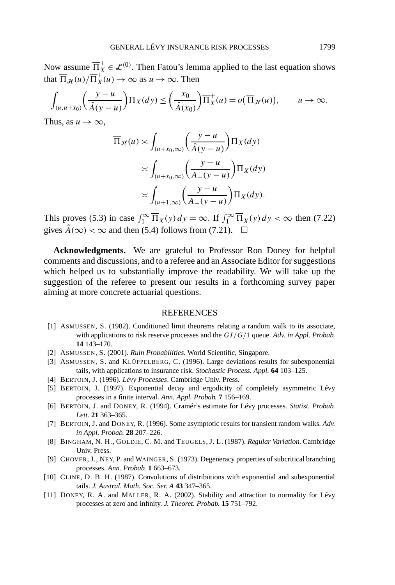Now assume  $\overline{\Pi}_X^+ \in \mathcal{L}^{(0)}.$  Then Fatou's lemma applied to the last equation shows that  $\overline{\Pi}_{\mathcal{H}}(u)/\overline{\Pi}_{X}^{+}(u) \to \infty$  as  $u \to \infty$ . Then

$$
\int_{(u,u+x_0)} \left(\frac{y-u}{\hat{A}(y-u)}\right) \Pi_X(dy) \leq \left(\frac{x_0}{\hat{A}(x_0)}\right) \overline{\Pi}_X^+(u) = o\left(\overline{\Pi}_{\mathcal{H}}(u)\right), \qquad u \to \infty.
$$

Thus, as  $u \to \infty$ ,

$$
\overline{\Pi}_{\mathcal{H}}(u) \asymp \int_{(u+x_0,\infty)} \left(\frac{y-u}{\hat{A}(y-u)}\right) \Pi_X(dy)
$$

$$
\asymp \int_{(u+x_0,\infty)} \left(\frac{y-u}{A-(y-u)}\right) \Pi_X(dy)
$$

$$
\asymp \int_{(u+1,\infty)} \left(\frac{y-u}{A-(y-u)}\right) \Pi_X(dy).
$$

This proves (5.3) in case  $\int_1^\infty \overline{\Pi}_X(y) dy = \infty$ . If  $\int_1^\infty \overline{\Pi}_X(y) dy < \infty$  then (7.22) gives  $\hat{A}(\infty) < \infty$  and then (5.4) follows from (7.21).  $\Box$ 

**Acknowledgments.** We are grateful to Professor Ron Doney for helpful comments and discussions, and to a referee and an Associate Editor for suggestions which helped us to substantially improve the readability. We will take up the suggestion of the referee to present our results in a forthcoming survey paper aiming at more concrete actuarial questions.

## REFERENCES

- [1] ASMUSSEN, S. (1982). Conditioned limit theorems relating a random walk to its associate, with applications to risk reserve processes and the *GI/G/*1 queue. *Adv. in Appl. Probab.* **14** 143–170.
- [2] ASMUSSEN, S. (2001). *Ruin Probabilities.* World Scientific, Singapore.
- [3] ASMUSSEN, S. and KLÜPPELBERG, C. (1996). Large deviations results for subexponential tails, with applications to insurance risk. *Stochastic Process. Appl.* **64** 103–125.
- [4] BERTOIN, J. (1996). *Lévy Processes*. Cambridge Univ. Press.
- [5] BERTOIN, J. (1997). Exponential decay and ergodicity of completely asymmetric Lévy processes in a finite interval. *Ann. Appl. Probab.* **7** 156–169.
- [6] BERTOIN, J. and DONEY, R. (1994). Cramér's estimate for Lévy processes. *Statist. Probab. Lett.* **21** 363–365.
- [7] BERTOIN, J. and DONEY, R. (1996). Some asymptotic results for transient random walks. *Adv. in Appl. Probab.* **28** 207–226.
- [8] BINGHAM, N. H., GOLDIE, C. M. and TEUGELS, J. L. (1987). *Regular Variation.* Cambridge Univ. Press.
- [9] CHOVER, J., NEY, P. and WAINGER, S. (1973). Degeneracy properties of subcritical branching processes. *Ann. Probab.* **1** 663–673.
- [10] CLINE, D. B. H. (1987). Convolutions of distributions with exponential and subexponential tails. *J. Austral. Math. Soc. Ser. A* **43** 347–365.
- [11] DONEY, R. A. and MALLER, R. A. (2002). Stability and attraction to normality for Lévy processes at zero and infinity. *J. Theoret. Probab.* **15** 751–792.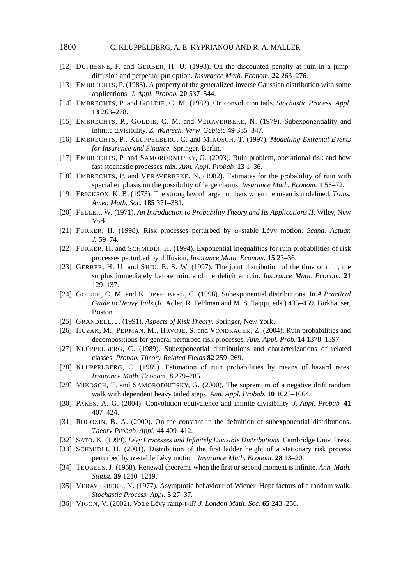- [12] DUFRESNE, F. and GERBER, H. U. (1998). On the discounted penalty at ruin in a jumpdiffusion and perpetual put option. *Insurance Math. Econom.* **22** 263–276.
- [13] EMBRECHTS, P. (1983). A property of the generalized inverse Gaussian distribution with some applications. *J. Appl. Probab.* **20** 537–544.
- [14] EMBRECHTS, P. and GOLDIE, C. M. (1982). On convolution tails. *Stochastic Process. Appl.* **13** 263–278.
- [15] EMBRECHTS, P., GOLDIE, C. M. and VERAVERBEKE, N. (1979). Subexponentiality and infinite divisibility. *Z. Wahrsch. Verw. Gebiete* **49** 335–347.
- [16] EMBRECHTS, P., KLÜPPELBERG, C. and MIKOSCH, T. (1997). *Modelling Extremal Events for Insurance and Finance.* Springer, Berlin.
- [17] EMBRECHTS, P. and SAMORODNITSKY, G. (2003). Ruin problem, operational risk and how fast stochastic processes mix. *Ann. Appl. Probab.* **13** 1–36.
- [18] EMBRECHTS, P. and VERAVERBEKE, N. (1982). Estimates for the probability of ruin with special emphasis on the possibility of large claims. *Insurance Math. Econom.* **1** 55–72.
- [19] ERICKSON, K. B. (1973). The strong law of large numbers when the mean is undefined. *Trans. Amer. Math. Soc.* **185** 371–381.
- [20] FELLER, W. (1971). *An Introduction to Probability Theory and Its Applications II.* Wiley, New York.
- [21] FURRER, H. (1998). Risk processes perturbed by *α*-stable Lévy motion. *Scand. Actuar. J.* 59–74.
- [22] FURRER, H. and SCHMIDLI, H. (1994). Exponential inequalities for ruin probabilities of risk processes perturbed by diffusion. *Insurance Math. Econom.* **15** 23–36.
- [23] GERBER, H. U. and SHIU, E. S. W. (1997). The joint distribution of the time of ruin, the surplus immediately before ruin, and the deficit at ruin. *Insurance Math. Econom.* **21** 129–137.
- [24] GOLDIE, C. M. and KLÜPPELBERG, C. (1998). Subexponential distributions. In *A Practical Guide to Heavy Tails* (R. Adler, R. Feldman and M. S. Taqqu, eds.) 435–459. Birkhäuser, Boston.
- [25] GRANDELL, J. (1991). *Aspects of Risk Theory.* Springer, New York.
- [26] HUZAK, M., PERMAN, M., HRVOJE, S. and VONDRACEK, Z. (2004). Ruin probabilities and decompositions for general perturbed risk processes. *Ann. Appl. Prob.* **14** 1378–1397.
- [27] KLÜPPELBERG, C. (1989). Subexponential distributions and characterizations of related classes. *Probab. Theory Related Fields* **82** 259–269.
- [28] KLÜPPELBERG, C. (1989). Estimation of ruin probabilities by means of hazard rates. *Insurance Math. Econom.* **8** 279–285.
- [29] MIKOSCH, T. and SAMORODNITSKY, G. (2000). The supremum of a negative drift random walk with dependent heavy tailed steps. *Ann. Appl. Probab.* **10** 1025–1064.
- [30] PAKES, A. G. (2004). Convolution equivalence and infinite divisibility. *J. Appl. Probab.* **41** 407–424.
- [31] ROGOZIN, B. A. (2000). On the constant in the definition of subexponential distributions. *Theory Probab. Appl.* **44** 409–412.
- [32] SATO, K. (1999). *Lévy Processes and Infinitely Divisible Distributions.* Cambridge Univ. Press.
- [33] SCHMIDLI, H. (2001). Distribution of the first ladder height of a stationary risk process perturbed by *α*-stable Lévy motion. *Insurance Math. Econom.* **28** 13–20.
- [34] TEUGELS, J. (1968). Renewal theorems when the first or second moment is infinite. *Ann. Math. Statist.* **39** 1210–1219.
- [35] VERAVERBEKE, N. (1977). Asymptotic behaviour of Wiener–Hopf factors of a random walk. *Stochastic Process. Appl.* **5** 27–37.
- [36] VIGON, V. (2002). Votre Lévy ramp-t-il? *J. London Math. Soc.* **65** 243–256.